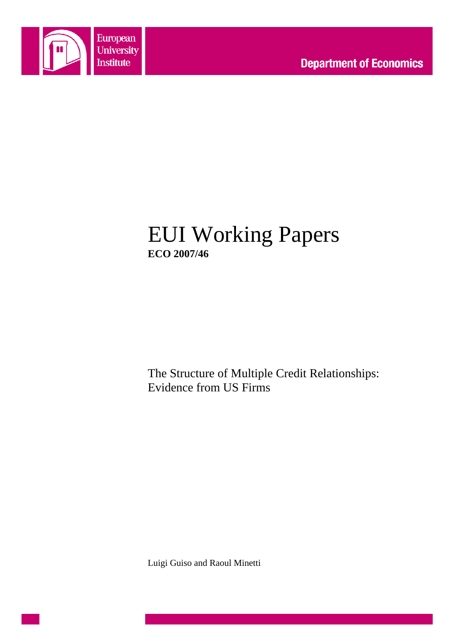

# EUI Working Papers **ECO 2007/46**

The Structure of Multiple Credit Relationships: Evidence from US Firms

Luigi Guiso and Raoul Minetti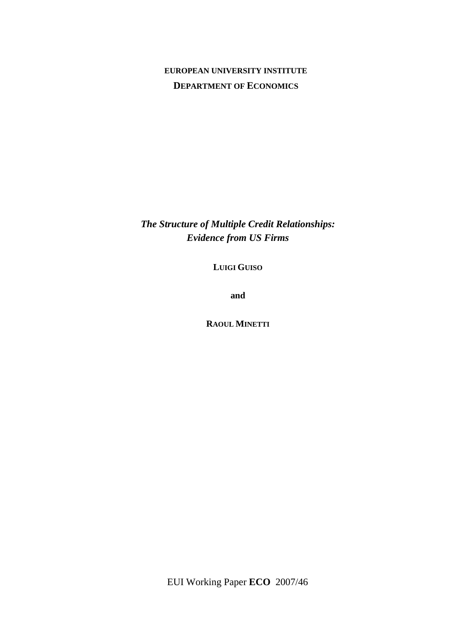### **EUROPEAN UNIVERSITY INSTITUTE DEPARTMENT OF ECONOMICS**

*The Structure of Multiple Credit Relationships: Evidence from US Firms* 

**LUIGI GUISO**

**and** 

**RAOUL MINETTI**

EUI Working Paper **ECO** 2007/46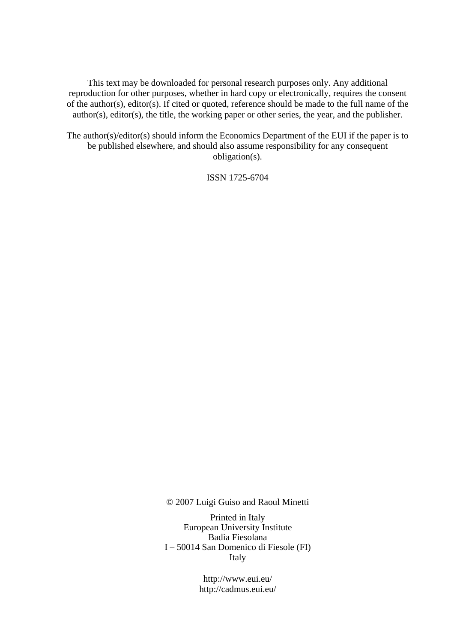This text may be downloaded for personal research purposes only. Any additional reproduction for other purposes, whether in hard copy or electronically, requires the consent of the author(s), editor(s). If cited or quoted, reference should be made to the full name of the author(s), editor(s), the title, the working paper or other series, the year, and the publisher.

The author(s)/editor(s) should inform the Economics Department of the EUI if the paper is to be published elsewhere, and should also assume responsibility for any consequent obligation(s).

ISSN 1725-6704

© 2007 Luigi Guiso and Raoul Minetti

Printed in Italy European University Institute Badia Fiesolana I – 50014 San Domenico di Fiesole (FI) Italy

> http://www.eui.eu/ http://cadmus.eui.eu/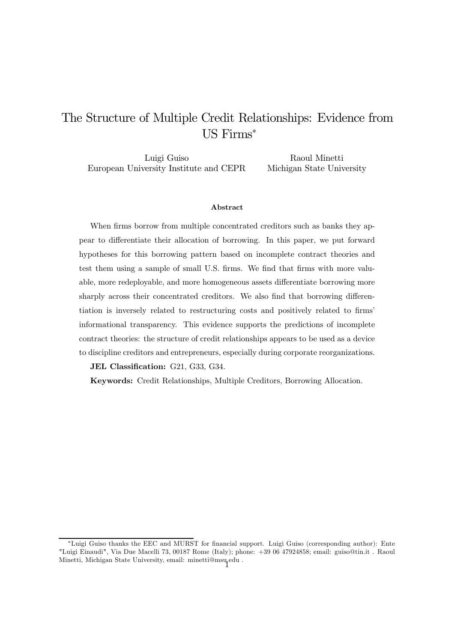## The Structure of Multiple Credit Relationships: Evidence from US Firms

Luigi Guiso European University Institute and CEPR Raoul Minetti Michigan State University

#### Abstract

When firms borrow from multiple concentrated creditors such as banks they appear to differentiate their allocation of borrowing. In this paper, we put forward hypotheses for this borrowing pattern based on incomplete contract theories and test them using a sample of small U.S. firms. We find that firms with more valuable, more redeployable, and more homogeneous assets differentiate borrowing more sharply across their concentrated creditors. We also find that borrowing differentiation is inversely related to restructuring costs and positively related to firms' informational transparency. This evidence supports the predictions of incomplete contract theories: the structure of credit relationships appears to be used as a device to discipline creditors and entrepreneurs, especially during corporate reorganizations.

JEL Classification: G21, G33, G34.

Keywords: Credit Relationships, Multiple Creditors, Borrowing Allocation.

<sup>\*</sup>Luigi Guiso thanks the EEC and MURST for financial support. Luigi Guiso (corresponding author): Ente "Luigi Einaudi", Via Due Macelli 73, 00187 Rome (Italy); phone: +39 06 47924858; email: guiso@tin.it . Raoul Minetti, Michigan State University, email: minetti@msu.edu .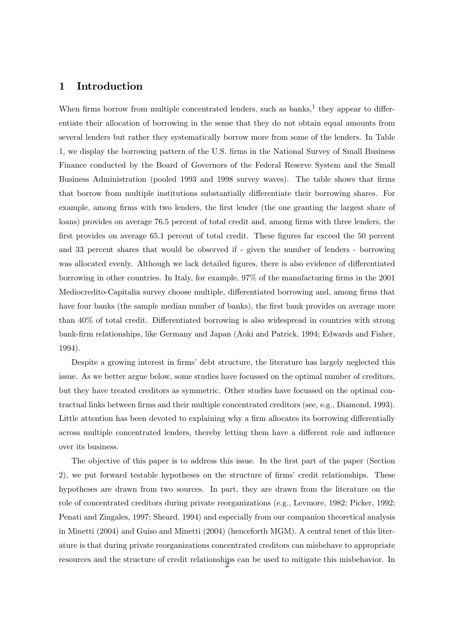#### 1 Introduction

When firms borrow from multiple concentrated lenders, such as banks, $<sup>1</sup>$  they appear to differ-</sup> entiate their allocation of borrowing in the sense that they do not obtain equal amounts from several lenders but rather they systematically borrow more from some of the lenders. In Table 1, we display the borrowing pattern of the U.S. firms in the National Survey of Small Business Finance conducted by the Board of Governors of the Federal Reserve System and the Small Business Administration (pooled 1993 and 1998 survey waves). The table shows that firms that borrow from multiple institutions substantially differentiate their borrowing shares. For example, among firms with two lenders, the first lender (the one granting the largest share of loans) provides on average 76.5 percent of total credit and, among firms with three lenders, the first provides on average 65.1 percent of total credit. These figures far exceed the 50 percent and 33 percent shares that would be observed if - given the number of lenders - borrowing was allocated evenly. Although we lack detailed figures, there is also evidence of differentiated borrowing in other countries. In Italy, for example, 97% of the manufacturing firms in the 2001 Mediocredito-Capitalia survey choose multiple, differentiated borrowing and, among firms that have four banks (the sample median number of banks), the first bank provides on average more than  $40\%$  of total credit. Differentiated borrowing is also widespread in countries with strong bank-firm relationships, like Germany and Japan (Aoki and Patrick, 1994; Edwards and Fisher, 1994).

Despite a growing interest in firms' debt structure, the literature has largely neglected this issue. As we better argue below, some studies have focussed on the optimal number of creditors, but they have treated creditors as symmetric. Other studies have focussed on the optimal contractual links between firms and their multiple concentrated creditors (see, e.g., Diamond, 1993). Little attention has been devoted to explaining why a firm allocates its borrowing differentially across multiple concentrated lenders, thereby letting them have a different role and influence over its business.

The objective of this paper is to address this issue. In the first part of the paper (Section 2), we put forward testable hypotheses on the structure of firms' credit relationships. These hypotheses are drawn from two sources. In part, they are drawn from the literature on the role of concentrated creditors during private reorganizations (e.g., Levmore, 1982; Picker, 1992; Penati and Zingales, 1997; Sheard, 1994) and especially from our companion theoretical analysis in Minetti (2004) and Guiso and Minetti (2004) (henceforth MGM). A central tenet of this literature is that during private reorganizations concentrated creditors can misbehave to appropriate resources and the structure of credit relationships can be used to mitigate this misbehavior. In <sup>2</sup>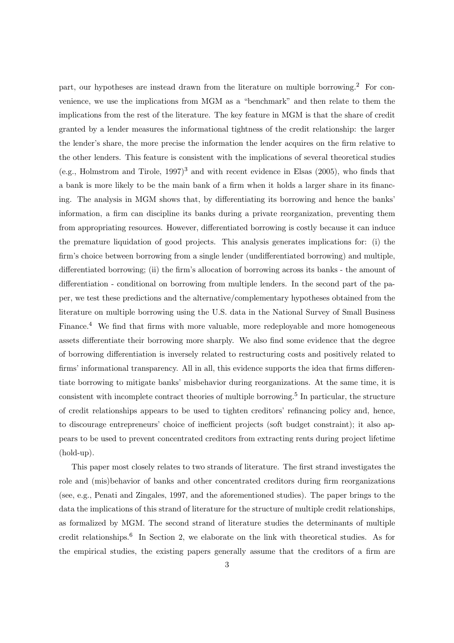part, our hypotheses are instead drawn from the literature on multiple borrowing.<sup>2</sup> For convenience, we use the implications from MGM as a "benchmark" and then relate to them the implications from the rest of the literature. The key feature in MGM is that the share of credit granted by a lender measures the informational tightness of the credit relationship: the larger the lender's share, the more precise the information the lender acquires on the firm relative to the other lenders. This feature is consistent with the implications of several theoretical studies (e.g., Holmstrom and Tirole,  $1997$ )<sup>3</sup> and with recent evidence in Elsas (2005), who finds that a bank is more likely to be the main bank of a firm when it holds a larger share in its financing. The analysis in MGM shows that, by differentiating its borrowing and hence the banks' information, a firm can discipline its banks during a private reorganization, preventing them from appropriating resources. However, differentiated borrowing is costly because it can induce the premature liquidation of good projects. This analysis generates implications for: (i) the firm's choice between borrowing from a single lender (undifferentiated borrowing) and multiple, differentiated borrowing; (ii) the firm's allocation of borrowing across its banks - the amount of differentiation - conditional on borrowing from multiple lenders. In the second part of the paper, we test these predictions and the alternative/complementary hypotheses obtained from the literature on multiple borrowing using the U.S. data in the National Survey of Small Business Finance.<sup>4</sup> We find that firms with more valuable, more redeployable and more homogeneous assets differentiate their borrowing more sharply. We also find some evidence that the degree of borrowing differentiation is inversely related to restructuring costs and positively related to firms' informational transparency. All in all, this evidence supports the idea that firms differentiate borrowing to mitigate banks' misbehavior during reorganizations. At the same time, it is consistent with incomplete contract theories of multiple borrowing.<sup>5</sup> In particular, the structure of credit relationships appears to be used to tighten creditors' refinancing policy and, hence, to discourage entrepreneurs' choice of inefficient projects (soft budget constraint); it also appears to be used to prevent concentrated creditors from extracting rents during project lifetime (hold-up).

This paper most closely relates to two strands of literature. The first strand investigates the role and (mis)behavior of banks and other concentrated creditors during firm reorganizations (see, e.g., Penati and Zingales, 1997, and the aforementioned studies). The paper brings to the data the implications of this strand of literature for the structure of multiple credit relationships, as formalized by MGM. The second strand of literature studies the determinants of multiple credit relationships.<sup>6</sup> In Section 2, we elaborate on the link with theoretical studies. As for the empirical studies, the existing papers generally assume that the creditors of a firm are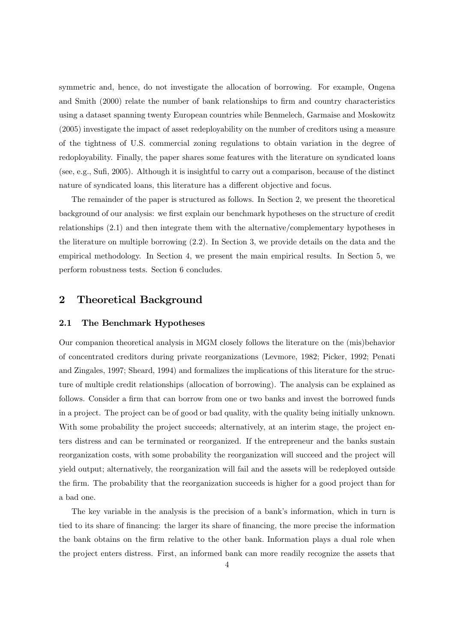symmetric and, hence, do not investigate the allocation of borrowing. For example, Ongena and Smith (2000) relate the number of bank relationships to firm and country characteristics using a dataset spanning twenty European countries while Benmelech, Garmaise and Moskowitz (2005) investigate the impact of asset redeployability on the number of creditors using a measure of the tightness of U.S. commercial zoning regulations to obtain variation in the degree of redoployability. Finally, the paper shares some features with the literature on syndicated loans (see, e.g., Sufi, 2005). Although it is insightful to carry out a comparison, because of the distinct nature of syndicated loans, this literature has a different objective and focus.

The remainder of the paper is structured as follows. In Section 2, we present the theoretical background of our analysis: we first explain our benchmark hypotheses on the structure of credit relationships (2.1) and then integrate them with the alternative/complementary hypotheses in the literature on multiple borrowing (2.2). In Section 3, we provide details on the data and the empirical methodology. In Section 4, we present the main empirical results. In Section 5, we perform robustness tests. Section 6 concludes.

### 2 Theoretical Background

#### 2.1 The Benchmark Hypotheses

Our companion theoretical analysis in MGM closely follows the literature on the (mis)behavior of concentrated creditors during private reorganizations (Levmore, 1982; Picker, 1992; Penati and Zingales, 1997; Sheard, 1994) and formalizes the implications of this literature for the structure of multiple credit relationships (allocation of borrowing). The analysis can be explained as follows. Consider a firm that can borrow from one or two banks and invest the borrowed funds in a project. The project can be of good or bad quality, with the quality being initially unknown. With some probability the project succeeds; alternatively, at an interim stage, the project enters distress and can be terminated or reorganized. If the entrepreneur and the banks sustain reorganization costs, with some probability the reorganization will succeed and the project will yield output; alternatively, the reorganization will fail and the assets will be redeployed outside the firm. The probability that the reorganization succeeds is higher for a good project than for a bad one.

The key variable in the analysis is the precision of a bank's information, which in turn is tied to its share of financing: the larger its share of financing, the more precise the information the bank obtains on the firm relative to the other bank. Information plays a dual role when the project enters distress. First, an informed bank can more readily recognize the assets that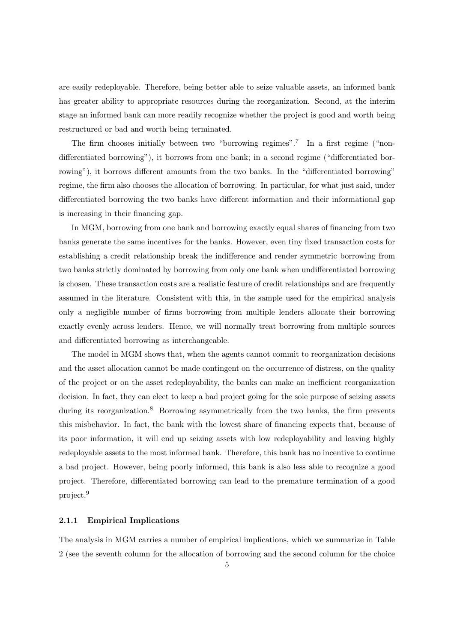are easily redeployable. Therefore, being better able to seize valuable assets, an informed bank has greater ability to appropriate resources during the reorganization. Second, at the interim stage an informed bank can more readily recognize whether the project is good and worth being restructured or bad and worth being terminated.

The firm chooses initially between two "borrowing regimes".<sup>7</sup> In a first regime ("nondifferentiated borrowing"), it borrows from one bank; in a second regime ("differentiated borrowing"), it borrows different amounts from the two banks. In the "differentiated borrowing" regime, the firm also chooses the allocation of borrowing. In particular, for what just said, under differentiated borrowing the two banks have different information and their informational gap is increasing in their financing gap.

In MGM, borrowing from one bank and borrowing exactly equal shares of financing from two banks generate the same incentives for the banks. However, even tiny fixed transaction costs for establishing a credit relationship break the indifference and render symmetric borrowing from two banks strictly dominated by borrowing from only one bank when undifferentiated borrowing is chosen. These transaction costs are a realistic feature of credit relationships and are frequently assumed in the literature. Consistent with this, in the sample used for the empirical analysis only a negligible number of firms borrowing from multiple lenders allocate their borrowing exactly evenly across lenders. Hence, we will normally treat borrowing from multiple sources and differentiated borrowing as interchangeable.

The model in MGM shows that, when the agents cannot commit to reorganization decisions and the asset allocation cannot be made contingent on the occurrence of distress, on the quality of the project or on the asset redeployability, the banks can make an inefficient reorganization decision. In fact, they can elect to keep a bad project going for the sole purpose of seizing assets during its reorganization.<sup>8</sup> Borrowing asymmetrically from the two banks, the firm prevents this misbehavior. In fact, the bank with the lowest share of financing expects that, because of its poor information, it will end up seizing assets with low redeployability and leaving highly redeployable assets to the most informed bank. Therefore, this bank has no incentive to continue a bad project. However, being poorly informed, this bank is also less able to recognize a good project. Therefore, differentiated borrowing can lead to the premature termination of a good project.<sup>9</sup>

#### 2.1.1 Empirical Implications

The analysis in MGM carries a number of empirical implications, which we summarize in Table 2 (see the seventh column for the allocation of borrowing and the second column for the choice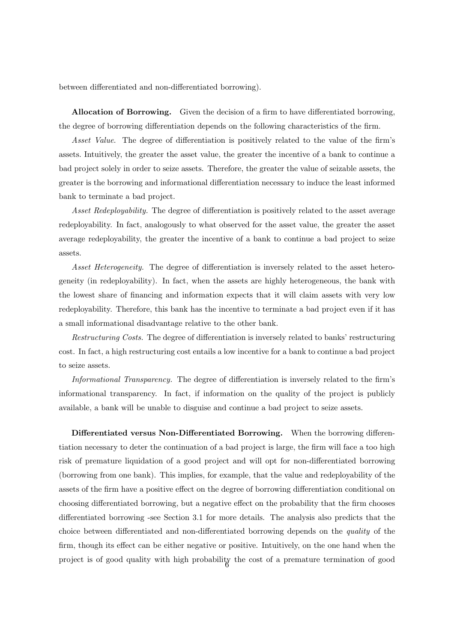between differentiated and non-differentiated borrowing).

Allocation of Borrowing. Given the decision of a firm to have differentiated borrowing, the degree of borrowing differentiation depends on the following characteristics of the firm.

Asset Value. The degree of differentiation is positively related to the value of the firm's assets. Intuitively, the greater the asset value, the greater the incentive of a bank to continue a bad project solely in order to seize assets. Therefore, the greater the value of seizable assets, the greater is the borrowing and informational differentiation necessary to induce the least informed bank to terminate a bad project.

Asset Redeployability. The degree of differentiation is positively related to the asset average redeployability. In fact, analogously to what observed for the asset value, the greater the asset average redeployability, the greater the incentive of a bank to continue a bad project to seize assets.

Asset Heterogeneity. The degree of differentiation is inversely related to the asset heterogeneity (in redeployability). In fact, when the assets are highly heterogeneous, the bank with the lowest share of financing and information expects that it will claim assets with very low redeployability. Therefore, this bank has the incentive to terminate a bad project even if it has a small informational disadvantage relative to the other bank.

Restructuring Costs. The degree of differentiation is inversely related to banks' restructuring cost. In fact, a high restructuring cost entails a low incentive for a bank to continue a bad project to seize assets.

Informational Transparency. The degree of differentiation is inversely related to the firm's informational transparency. In fact, if information on the quality of the project is publicly available, a bank will be unable to disguise and continue a bad project to seize assets.

Differentiated versus Non-Differentiated Borrowing. When the borrowing differentiation necessary to deter the continuation of a bad project is large, the firm will face a too high risk of premature liquidation of a good project and will opt for non-differentiated borrowing (borrowing from one bank). This implies, for example, that the value and redeployability of the assets of the firm have a positive effect on the degree of borrowing differentiation conditional on choosing differentiated borrowing, but a negative effect on the probability that the firm chooses differentiated borrowing -see Section 3.1 for more details. The analysis also predicts that the choice between differentiated and non-differentiated borrowing depends on the quality of the firm, though its effect can be either negative or positive. Intuitively, on the one hand when the project is of good quality with high probability the cost of a premature termination of good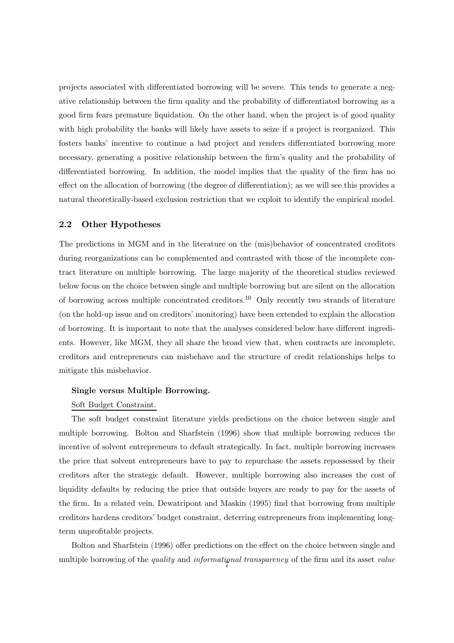projects associated with differentiated borrowing will be severe. This tends to generate a negative relationship between the firm quality and the probability of differentiated borrowing as a good firm fears premature liquidation. On the other hand, when the project is of good quality with high probability the banks will likely have assets to seize if a project is reorganized. This fosters banks' incentive to continue a bad project and renders differentiated borrowing more necessary, generating a positive relationship between the firm's quality and the probability of differentiated borrowing. In addition, the model implies that the quality of the firm has no effect on the allocation of borrowing (the degree of differentiation); as we will see this provides a natural theoretically-based exclusion restriction that we exploit to identify the empirical model.

#### 2.2 Other Hypotheses

The predictions in MGM and in the literature on the (mis)behavior of concentrated creditors during reorganizations can be complemented and contrasted with those of the incomplete contract literature on multiple borrowing. The large majority of the theoretical studies reviewed below focus on the choice between single and multiple borrowing but are silent on the allocation of borrowing across multiple concentrated creditors.<sup>10</sup> Only recently two strands of literature (on the hold-up issue and on creditors' monitoring) have been extended to explain the allocation of borrowing. It is important to note that the analyses considered below have different ingredients. However, like MGM, they all share the broad view that, when contracts are incomplete, creditors and entrepreneurs can misbehave and the structure of credit relationships helps to mitigate this misbehavior.

#### Single versus Multiple Borrowing.

#### Soft Budget Constraint.

The soft budget constraint literature yields predictions on the choice between single and multiple borrowing. Bolton and Sharfstein (1996) show that multiple borrowing reduces the incentive of solvent entrepreneurs to default strategically. In fact, multiple borrowing increases the price that solvent entrepreneurs have to pay to repurchase the assets repossessed by their creditors after the strategic default. However, multiple borrowing also increases the cost of liquidity defaults by reducing the price that outside buyers are ready to pay for the assets of the firm. In a related vein, Dewatripont and Maskin (1995) find that borrowing from multiple creditors hardens creditors' budget constraint, deterring entrepreneurs from implementing longterm unprofitable projects.

Bolton and Sharfstein (1996) offer predictions on the effect on the choice between single and multiple borrowing of the quality and informational transparency of the firm and its asset value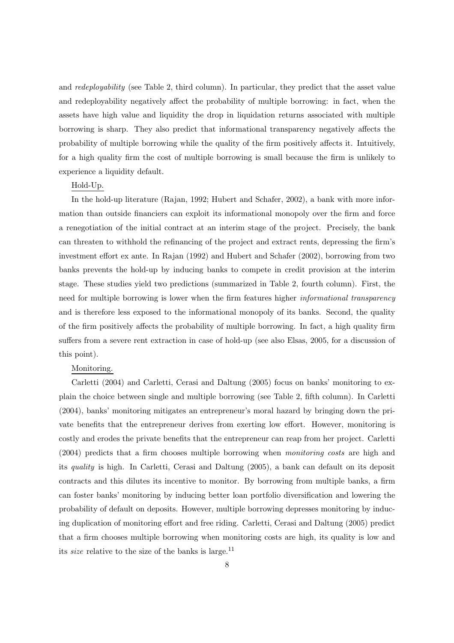and *redeployability* (see Table 2, third column). In particular, they predict that the asset value and redeployability negatively affect the probability of multiple borrowing: in fact, when the assets have high value and liquidity the drop in liquidation returns associated with multiple borrowing is sharp. They also predict that informational transparency negatively affects the probability of multiple borrowing while the quality of the firm positively affects it. Intuitively, for a high quality firm the cost of multiple borrowing is small because the firm is unlikely to experience a liquidity default.

#### Hold-Up.

In the hold-up literature (Rajan, 1992; Hubert and Schafer, 2002), a bank with more information than outside financiers can exploit its informational monopoly over the firm and force a renegotiation of the initial contract at an interim stage of the project. Precisely, the bank can threaten to withhold the refinancing of the project and extract rents, depressing the firm's investment effort ex ante. In Rajan  $(1992)$  and Hubert and Schafer  $(2002)$ , borrowing from two banks prevents the hold-up by inducing banks to compete in credit provision at the interim stage. These studies yield two predictions (summarized in Table 2, fourth column). First, the need for multiple borrowing is lower when the firm features higher *informational transparency* and is therefore less exposed to the informational monopoly of its banks. Second, the quality of the firm positively affects the probability of multiple borrowing. In fact, a high quality firm suffers from a severe rent extraction in case of hold-up (see also Elsas, 2005, for a discussion of this point).

#### Monitoring.

Carletti (2004) and Carletti, Cerasi and Daltung (2005) focus on banks' monitoring to explain the choice between single and multiple borrowing (see Table 2, fifth column). In Carletti (2004), banks' monitoring mitigates an entrepreneur's moral hazard by bringing down the private benefits that the entrepreneur derives from exerting low effort. However, monitoring is costly and erodes the private benefits that the entrepreneur can reap from her project. Carletti (2004) predicts that a firm chooses multiple borrowing when monitoring costs are high and its quality is high. In Carletti, Cerasi and Daltung (2005), a bank can default on its deposit contracts and this dilutes its incentive to monitor. By borrowing from multiple banks, a firm can foster banks' monitoring by inducing better loan portfolio diversification and lowering the probability of default on deposits. However, multiple borrowing depresses monitoring by inducing duplication of monitoring effort and free riding. Carletti, Cerasi and Daltung (2005) predict that a firm chooses multiple borrowing when monitoring costs are high, its quality is low and its *size* relative to the size of the banks is large.<sup>11</sup>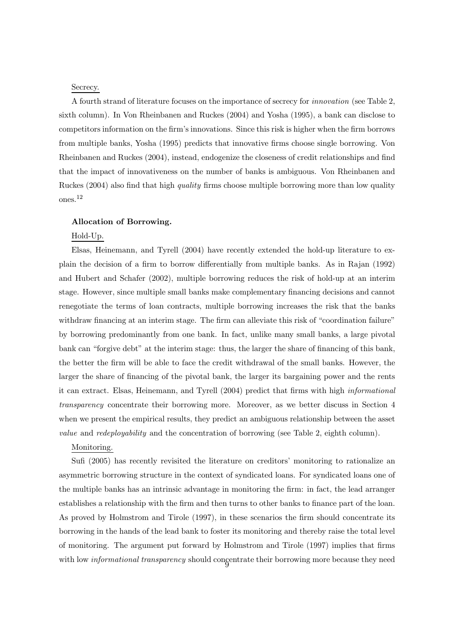#### Secrecy.

A fourth strand of literature focuses on the importance of secrecy for innovation (see Table 2, sixth column). In Von Rheinbanen and Ruckes (2004) and Yosha (1995), a bank can disclose to competitors information on the firm's innovations. Since this risk is higher when the firm borrows from multiple banks, Yosha (1995) predicts that innovative firms choose single borrowing. Von Rheinbanen and Ruckes (2004), instead, endogenize the closeness of credit relationships and find that the impact of innovativeness on the number of banks is ambiguous. Von Rheinbanen and Ruckes (2004) also find that high *quality* firms choose multiple borrowing more than low quality ones.<sup>12</sup>

#### Allocation of Borrowing.

#### Hold-Up.

Elsas, Heinemann, and Tyrell (2004) have recently extended the hold-up literature to explain the decision of a firm to borrow differentially from multiple banks. As in Rajan (1992) and Hubert and Schafer (2002), multiple borrowing reduces the risk of hold-up at an interim stage. However, since multiple small banks make complementary financing decisions and cannot renegotiate the terms of loan contracts, multiple borrowing increases the risk that the banks withdraw financing at an interim stage. The firm can alleviate this risk of "coordination failure" by borrowing predominantly from one bank. In fact, unlike many small banks, a large pivotal bank can "forgive debt" at the interim stage: thus, the larger the share of financing of this bank, the better the firm will be able to face the credit withdrawal of the small banks. However, the larger the share of financing of the pivotal bank, the larger its bargaining power and the rents it can extract. Elsas, Heinemann, and Tyrell (2004) predict that firms with high informational transparency concentrate their borrowing more. Moreover, as we better discuss in Section 4 when we present the empirical results, they predict an ambiguous relationship between the asset value and redeployability and the concentration of borrowing (see Table 2, eighth column).

#### Monitoring.

Sufi (2005) has recently revisited the literature on creditors' monitoring to rationalize an asymmetric borrowing structure in the context of syndicated loans. For syndicated loans one of the multiple banks has an intrinsic advantage in monitoring the firm: in fact, the lead arranger establishes a relationship with the firm and then turns to other banks to finance part of the loan. As proved by Holmstrom and Tirole (1997), in these scenarios the firm should concentrate its borrowing in the hands of the lead bank to foster its monitoring and thereby raise the total level of monitoring. The argument put forward by Holmstrom and Tirole (1997) implies that firms with low *informational transparency* should concentrate their borrowing more because they need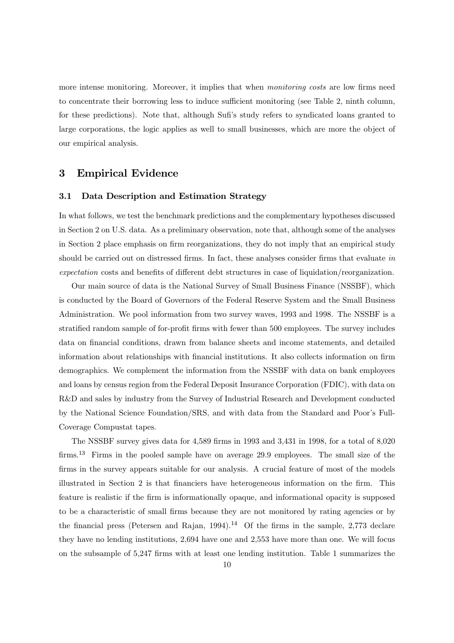more intense monitoring. Moreover, it implies that when *monitoring costs* are low firms need to concentrate their borrowing less to induce sufficient monitoring (see Table 2, ninth column, for these predictions). Note that, although Sufi's study refers to syndicated loans granted to large corporations, the logic applies as well to small businesses, which are more the object of our empirical analysis.

#### 3 Empirical Evidence

#### 3.1 Data Description and Estimation Strategy

In what follows, we test the benchmark predictions and the complementary hypotheses discussed in Section 2 on U.S. data. As a preliminary observation, note that, although some of the analyses in Section 2 place emphasis on firm reorganizations, they do not imply that an empirical study should be carried out on distressed firms. In fact, these analyses consider firms that evaluate in expectation costs and benefits of different debt structures in case of liquidation/reorganization.

Our main source of data is the National Survey of Small Business Finance (NSSBF), which is conducted by the Board of Governors of the Federal Reserve System and the Small Business Administration. We pool information from two survey waves, 1993 and 1998. The NSSBF is a stratified random sample of for-profit firms with fewer than 500 employees. The survey includes data on financial conditions, drawn from balance sheets and income statements, and detailed information about relationships with financial institutions. It also collects information on firm demographics. We complement the information from the NSSBF with data on bank employees and loans by census region from the Federal Deposit Insurance Corporation (FDIC), with data on R&D and sales by industry from the Survey of Industrial Research and Development conducted by the National Science Foundation/SRS, and with data from the Standard and Poor's Full-Coverage Compustat tapes.

The NSSBF survey gives data for 4,589 firms in 1993 and 3,431 in 1998, for a total of 8,020 firms.<sup>13</sup> Firms in the pooled sample have on average 29.9 employees. The small size of the firms in the survey appears suitable for our analysis. A crucial feature of most of the models illustrated in Section 2 is that financiers have heterogeneous information on the firm. This feature is realistic if the firm is informationally opaque, and informational opacity is supposed to be a characteristic of small firms because they are not monitored by rating agencies or by the financial press (Petersen and Rajan, 1994).<sup>14</sup> Of the firms in the sample, 2,773 declare they have no lending institutions, 2,694 have one and 2,553 have more than one. We will focus on the subsample of 5,247 firms with at least one lending institution. Table 1 summarizes the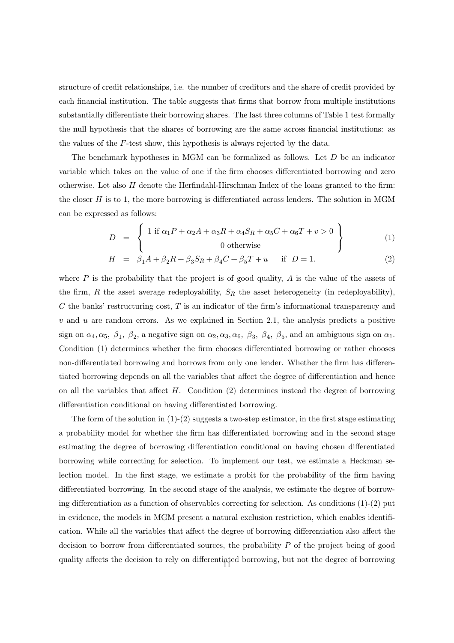structure of credit relationships, i.e. the number of creditors and the share of credit provided by each financial institution. The table suggests that firms that borrow from multiple institutions substantially differentiate their borrowing shares. The last three columns of Table 1 test formally the null hypothesis that the shares of borrowing are the same across financial institutions: as the values of the  $F$ -test show, this hypothesis is always rejected by the data.

The benchmark hypotheses in MGM can be formalized as follows. Let  $D$  be an indicator variable which takes on the value of one if the firm chooses differentiated borrowing and zero otherwise. Let also  $H$  denote the Herfindahl-Hirschman Index of the loans granted to the firm: the closer  $H$  is to 1, the more borrowing is differentiated across lenders. The solution in MGM can be expressed as follows:

$$
D = \left\{ \begin{array}{c} 1 \text{ if } \alpha_1 P + \alpha_2 A + \alpha_3 R + \alpha_4 S_R + \alpha_5 C + \alpha_6 T + v > 0 \\ 0 \text{ otherwise} \end{array} \right\} \tag{1}
$$

$$
H = \beta_1 A + \beta_2 R + \beta_3 S_R + \beta_4 C + \beta_5 T + u \quad \text{if } D = 1.
$$
 (2)

where  $P$  is the probability that the project is of good quality,  $A$  is the value of the assets of the firm, R the asset average redeployability,  $S_R$  the asset heterogeneity (in redeployability),  $C$  the banks' restructuring cost,  $T$  is an indicator of the firm's informational transparency and  $v$  and  $u$  are random errors. As we explained in Section 2.1, the analysis predicts a positive sign on  $\alpha_4, \alpha_5, \beta_1, \beta_2$ , a negative sign on  $\alpha_2, \alpha_3, \alpha_6, \beta_3, \beta_4, \beta_5$ , and an ambiguous sign on  $\alpha_1$ . Condition (1) determines whether the firm chooses differentiated borrowing or rather chooses non-differentiated borrowing and borrows from only one lender. Whether the firm has differentiated borrowing depends on all the variables that affect the degree of differentiation and hence on all the variables that affect  $H$ . Condition (2) determines instead the degree of borrowing differentiation conditional on having differentiated borrowing.

The form of the solution in  $(1)-(2)$  suggests a two-step estimator, in the first stage estimating a probability model for whether the firm has differentiated borrowing and in the second stage estimating the degree of borrowing differentiation conditional on having chosen differentiated borrowing while correcting for selection. To implement our test, we estimate a Heckman selection model. In the first stage, we estimate a probit for the probability of the firm having differentiated borrowing. In the second stage of the analysis, we estimate the degree of borrowing differentiation as a function of observables correcting for selection. As conditions  $(1)-(2)$  put in evidence, the models in MGM present a natural exclusion restriction, which enables identification. While all the variables that affect the degree of borrowing differentiation also affect the decision to borrow from differentiated sources, the probability  $P$  of the project being of good quality affects the decision to rely on differentiated borrowing, but not the degree of borrowing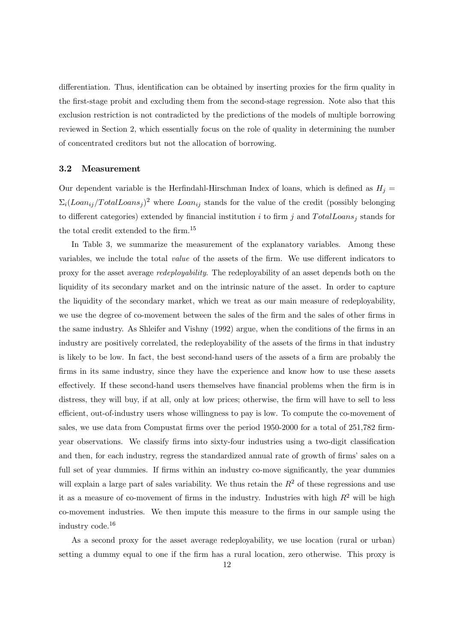differentiation. Thus, identification can be obtained by inserting proxies for the firm quality in the first-stage probit and excluding them from the second-stage regression. Note also that this exclusion restriction is not contradicted by the predictions of the models of multiple borrowing reviewed in Section 2, which essentially focus on the role of quality in determining the number of concentrated creditors but not the allocation of borrowing.

#### 3.2 Measurement

Our dependent variable is the Herfindahl-Hirschman Index of loans, which is defined as  $H_i$  =  $\sum_i (Loani_j / TotalLoans_j)^2$  where  $Loani_j$  stands for the value of the credit (possibly belonging to different categories) extended by financial institution i to firm j and  $TotalLoans<sub>i</sub>$  stands for the total credit extended to the firm.<sup>15</sup>

In Table 3, we summarize the measurement of the explanatory variables. Among these variables, we include the total *value* of the assets of the firm. We use different indicators to proxy for the asset average redeployability. The redeployability of an asset depends both on the liquidity of its secondary market and on the intrinsic nature of the asset. In order to capture the liquidity of the secondary market, which we treat as our main measure of redeployability, we use the degree of co-movement between the sales of the firm and the sales of other firms in the same industry. As Shleifer and Vishny (1992) argue, when the conditions of the firms in an industry are positively correlated, the redeployability of the assets of the firms in that industry is likely to be low. In fact, the best second-hand users of the assets of a firm are probably the firms in its same industry, since they have the experience and know how to use these assets effectively. If these second-hand users themselves have financial problems when the firm is in distress, they will buy, if at all, only at low prices; otherwise, the firm will have to sell to less efficient, out-of-industry users whose willingness to pay is low. To compute the co-movement of sales, we use data from Compustat firms over the period 1950-2000 for a total of 251,782 firmyear observations. We classify firms into sixty-four industries using a two-digit classification and then, for each industry, regress the standardized annual rate of growth of firms' sales on a full set of year dummies. If firms within an industry co-move significantly, the year dummies will explain a large part of sales variability. We thus retain the  $R<sup>2</sup>$  of these regressions and use it as a measure of co-movement of firms in the industry. Industries with high  $R^2$  will be high co-movement industries. We then impute this measure to the firms in our sample using the industry code.<sup>16</sup>

As a second proxy for the asset average redeployability, we use location (rural or urban) setting a dummy equal to one if the firm has a rural location, zero otherwise. This proxy is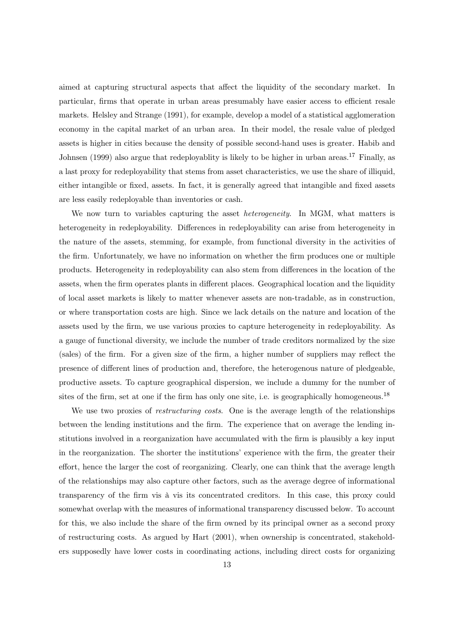aimed at capturing structural aspects that affect the liquidity of the secondary market. In particular, firms that operate in urban areas presumably have easier access to efficient resale markets. Helsley and Strange (1991), for example, develop a model of a statistical agglomeration economy in the capital market of an urban area. In their model, the resale value of pledged assets is higher in cities because the density of possible second-hand uses is greater. Habib and Johnsen (1999) also argue that redeployablity is likely to be higher in urban areas.<sup>17</sup> Finally, as a last proxy for redeployability that stems from asset characteristics, we use the share of illiquid, either intangible or fixed, assets. In fact, it is generally agreed that intangible and fixed assets are less easily redeployable than inventories or cash.

We now turn to variables capturing the asset *heterogeneity*. In MGM, what matters is heterogeneity in redeployability. Differences in redeployability can arise from heterogeneity in the nature of the assets, stemming, for example, from functional diversity in the activities of the firm. Unfortunately, we have no information on whether the firm produces one or multiple products. Heterogeneity in redeployability can also stem from differences in the location of the assets, when the firm operates plants in different places. Geographical location and the liquidity of local asset markets is likely to matter whenever assets are non-tradable, as in construction, or where transportation costs are high. Since we lack details on the nature and location of the assets used by the firm, we use various proxies to capture heterogeneity in redeployability. As a gauge of functional diversity, we include the number of trade creditors normalized by the size (sales) of the firm. For a given size of the firm, a higher number of suppliers may reflect the presence of different lines of production and, therefore, the heterogenous nature of pledgeable, productive assets. To capture geographical dispersion, we include a dummy for the number of sites of the firm, set at one if the firm has only one site, i.e. is geographically homogeneous.<sup>18</sup>

We use two proxies of *restructuring costs*. One is the average length of the relationships between the lending institutions and the firm. The experience that on average the lending institutions involved in a reorganization have accumulated with the firm is plausibly a key input in the reorganization. The shorter the institutions' experience with the firm, the greater their effort, hence the larger the cost of reorganizing. Clearly, one can think that the average length of the relationships may also capture other factors, such as the average degree of informational transparency of the firm vis à vis its concentrated creditors. In this case, this proxy could somewhat overlap with the measures of informational transparency discussed below. To account for this, we also include the share of the firm owned by its principal owner as a second proxy of restructuring costs. As argued by Hart (2001), when ownership is concentrated, stakeholders supposedly have lower costs in coordinating actions, including direct costs for organizing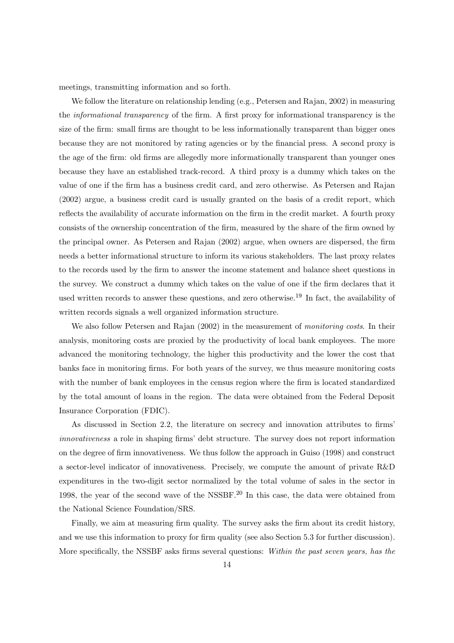meetings, transmitting information and so forth.

We follow the literature on relationship lending (e.g., Petersen and Rajan, 2002) in measuring the informational transparency of the firm. A first proxy for informational transparency is the size of the firm: small firms are thought to be less informationally transparent than bigger ones because they are not monitored by rating agencies or by the financial press. A second proxy is the age of the firm: old firms are allegedly more informationally transparent than younger ones because they have an established track-record. A third proxy is a dummy which takes on the value of one if the firm has a business credit card, and zero otherwise. As Petersen and Rajan (2002) argue, a business credit card is usually granted on the basis of a credit report, which reflects the availability of accurate information on the firm in the credit market. A fourth proxy consists of the ownership concentration of the firm, measured by the share of the firm owned by the principal owner. As Petersen and Rajan (2002) argue, when owners are dispersed, the firm needs a better informational structure to inform its various stakeholders. The last proxy relates to the records used by the firm to answer the income statement and balance sheet questions in the survey. We construct a dummy which takes on the value of one if the firm declares that it used written records to answer these questions, and zero otherwise.<sup>19</sup> In fact, the availability of written records signals a well organized information structure.

We also follow Petersen and Rajan (2002) in the measurement of *monitoring costs*. In their analysis, monitoring costs are proxied by the productivity of local bank employees. The more advanced the monitoring technology, the higher this productivity and the lower the cost that banks face in monitoring firms. For both years of the survey, we thus measure monitoring costs with the number of bank employees in the census region where the firm is located standardized by the total amount of loans in the region. The data were obtained from the Federal Deposit Insurance Corporation (FDIC).

As discussed in Section 2.2, the literature on secrecy and innovation attributes to firms' innovativeness a role in shaping firms' debt structure. The survey does not report information on the degree of firm innovativeness. We thus follow the approach in Guiso (1998) and construct a sector-level indicator of innovativeness. Precisely, we compute the amount of private R&D expenditures in the two-digit sector normalized by the total volume of sales in the sector in 1998, the year of the second wave of the NSSBF.<sup>20</sup> In this case, the data were obtained from the National Science Foundation/SRS.

Finally, we aim at measuring firm quality. The survey asks the firm about its credit history, and we use this information to proxy for firm quality (see also Section 5.3 for further discussion). More specifically, the NSSBF asks firms several questions: Within the past seven years, has the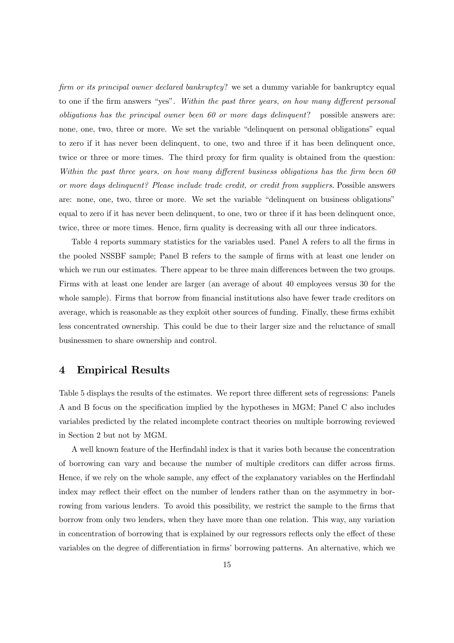firm or its principal owner declared bankruptcy? we set a dummy variable for bankruptcy equal to one if the firm answers "yes". Within the past three years, on how many different personal obligations has the principal owner been 60 or more days delinquent? possible answers are: none, one, two, three or more. We set the variable "delinquent on personal obligations" equal to zero if it has never been delinquent, to one, two and three if it has been delinquent once, twice or three or more times. The third proxy for firm quality is obtained from the question: Within the past three years, on how many different business obligations has the firm been  $60$ or more days delinquent? Please include trade credit, or credit from suppliers. Possible answers are: none, one, two, three or more. We set the variable "delinquent on business obligations" equal to zero if it has never been delinquent, to one, two or three if it has been delinquent once, twice, three or more times. Hence, firm quality is decreasing with all our three indicators.

Table 4 reports summary statistics for the variables used. Panel A refers to all the firms in the pooled NSSBF sample; Panel B refers to the sample of firms with at least one lender on which we run our estimates. There appear to be three main differences between the two groups. Firms with at least one lender are larger (an average of about 40 employees versus 30 for the whole sample). Firms that borrow from financial institutions also have fewer trade creditors on average, which is reasonable as they exploit other sources of funding. Finally, these firms exhibit less concentrated ownership. This could be due to their larger size and the reluctance of small businessmen to share ownership and control.

#### 4 Empirical Results

Table 5 displays the results of the estimates. We report three different sets of regressions: Panels A and B focus on the specification implied by the hypotheses in MGM; Panel C also includes variables predicted by the related incomplete contract theories on multiple borrowing reviewed in Section 2 but not by MGM.

A well known feature of the Herfindahl index is that it varies both because the concentration of borrowing can vary and because the number of multiple creditors can differ across firms. Hence, if we rely on the whole sample, any effect of the explanatory variables on the Herfindahl index may reflect their effect on the number of lenders rather than on the asymmetry in borrowing from various lenders. To avoid this possibility, we restrict the sample to the firms that borrow from only two lenders, when they have more than one relation. This way, any variation in concentration of borrowing that is explained by our regressors reflects only the effect of these variables on the degree of differentiation in firms' borrowing patterns. An alternative, which we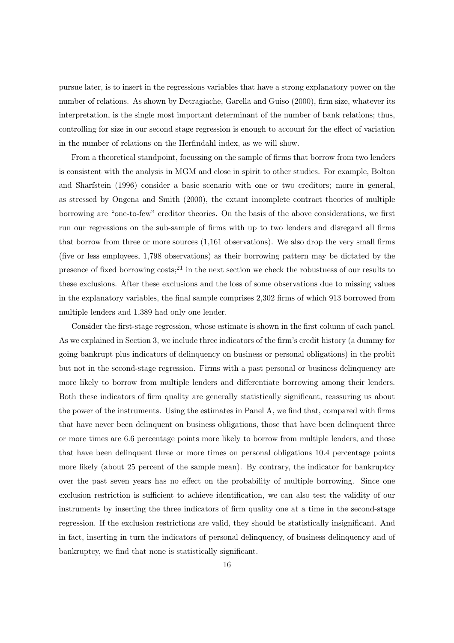pursue later, is to insert in the regressions variables that have a strong explanatory power on the number of relations. As shown by Detragiache, Garella and Guiso (2000), firm size, whatever its interpretation, is the single most important determinant of the number of bank relations; thus, controlling for size in our second stage regression is enough to account for the effect of variation in the number of relations on the Herfindahl index, as we will show.

From a theoretical standpoint, focussing on the sample of firms that borrow from two lenders is consistent with the analysis in MGM and close in spirit to other studies. For example, Bolton and Sharfstein (1996) consider a basic scenario with one or two creditors; more in general, as stressed by Ongena and Smith (2000), the extant incomplete contract theories of multiple borrowing are "one-to-few" creditor theories. On the basis of the above considerations, we first run our regressions on the sub-sample of firms with up to two lenders and disregard all firms that borrow from three or more sources (1,161 observations). We also drop the very small firms (five or less employees, 1,798 observations) as their borrowing pattern may be dictated by the presence of fixed borrowing  $costs$ ;<sup>21</sup> in the next section we check the robustness of our results to these exclusions. After these exclusions and the loss of some observations due to missing values in the explanatory variables, the final sample comprises 2,302 firms of which 913 borrowed from multiple lenders and 1,389 had only one lender.

Consider the first-stage regression, whose estimate is shown in the first column of each panel. As we explained in Section 3, we include three indicators of the firm's credit history (a dummy for going bankrupt plus indicators of delinquency on business or personal obligations) in the probit but not in the second-stage regression. Firms with a past personal or business delinquency are more likely to borrow from multiple lenders and differentiate borrowing among their lenders. Both these indicators of firm quality are generally statistically significant, reassuring us about the power of the instruments. Using the estimates in Panel A, we find that, compared with firms that have never been delinquent on business obligations, those that have been delinquent three or more times are 6.6 percentage points more likely to borrow from multiple lenders, and those that have been delinquent three or more times on personal obligations 10.4 percentage points more likely (about 25 percent of the sample mean). By contrary, the indicator for bankruptcy over the past seven years has no effect on the probability of multiple borrowing. Since one exclusion restriction is sufficient to achieve identification, we can also test the validity of our instruments by inserting the three indicators of firm quality one at a time in the second-stage regression. If the exclusion restrictions are valid, they should be statistically insignificant. And in fact, inserting in turn the indicators of personal delinquency, of business delinquency and of bankruptcy, we find that none is statistically significant.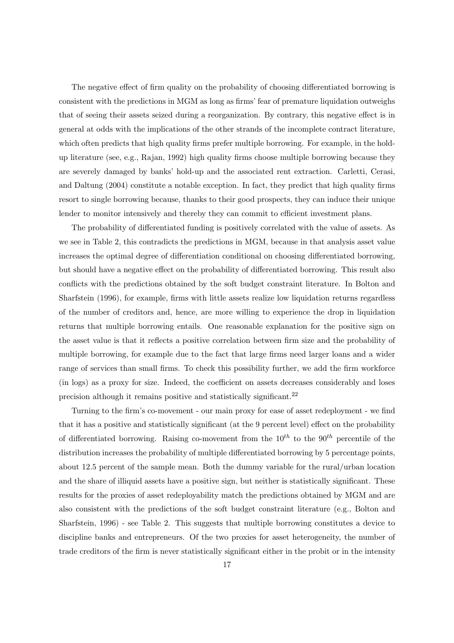The negative effect of firm quality on the probability of choosing differentiated borrowing is consistent with the predictions in MGM as long as firms' fear of premature liquidation outweighs that of seeing their assets seized during a reorganization. By contrary, this negative effect is in general at odds with the implications of the other strands of the incomplete contract literature, which often predicts that high quality firms prefer multiple borrowing. For example, in the holdup literature (see, e.g., Rajan, 1992) high quality firms choose multiple borrowing because they are severely damaged by banks' hold-up and the associated rent extraction. Carletti, Cerasi, and Daltung (2004) constitute a notable exception. In fact, they predict that high quality firms resort to single borrowing because, thanks to their good prospects, they can induce their unique lender to monitor intensively and thereby they can commit to efficient investment plans.

The probability of differentiated funding is positively correlated with the value of assets. As we see in Table 2, this contradicts the predictions in MGM, because in that analysis asset value increases the optimal degree of differentiation conditional on choosing differentiated borrowing, but should have a negative effect on the probability of differentiated borrowing. This result also conflicts with the predictions obtained by the soft budget constraint literature. In Bolton and Sharfstein (1996), for example, firms with little assets realize low liquidation returns regardless of the number of creditors and, hence, are more willing to experience the drop in liquidation returns that multiple borrowing entails. One reasonable explanation for the positive sign on the asset value is that it reflects a positive correlation between firm size and the probability of multiple borrowing, for example due to the fact that large firms need larger loans and a wider range of services than small firms. To check this possibility further, we add the firm workforce (in logs) as a proxy for size. Indeed, the coefficient on assets decreases considerably and loses precision although it remains positive and statistically significant.<sup>22</sup>

Turning to the firm's co-movement - our main proxy for ease of asset redeployment - we find that it has a positive and statistically significant (at the 9 percent level) effect on the probability of differentiated borrowing. Raising co-movement from the  $10^{th}$  to the  $90^{th}$  percentile of the distribution increases the probability of multiple differentiated borrowing by 5 percentage points, about 12.5 percent of the sample mean. Both the dummy variable for the rural/urban location and the share of illiquid assets have a positive sign, but neither is statistically significant. These results for the proxies of asset redeployability match the predictions obtained by MGM and are also consistent with the predictions of the soft budget constraint literature (e.g., Bolton and Sharfstein, 1996) - see Table 2. This suggests that multiple borrowing constitutes a device to discipline banks and entrepreneurs. Of the two proxies for asset heterogeneity, the number of trade creditors of the firm is never statistically significant either in the probit or in the intensity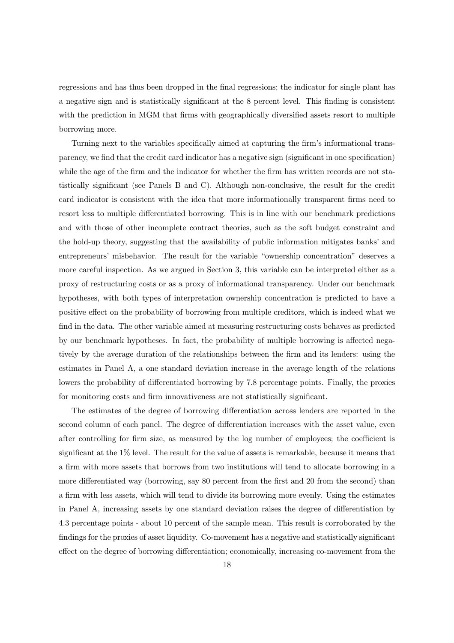regressions and has thus been dropped in the final regressions; the indicator for single plant has a negative sign and is statistically significant at the 8 percent level. This finding is consistent with the prediction in MGM that firms with geographically diversified assets resort to multiple borrowing more.

Turning next to the variables specifically aimed at capturing the firm's informational transparency, we find that the credit card indicator has a negative sign (significant in one specification) while the age of the firm and the indicator for whether the firm has written records are not statistically significant (see Panels B and C). Although non-conclusive, the result for the credit card indicator is consistent with the idea that more informationally transparent firms need to resort less to multiple differentiated borrowing. This is in line with our benchmark predictions and with those of other incomplete contract theories, such as the soft budget constraint and the hold-up theory, suggesting that the availability of public information mitigates banks' and entrepreneurs' misbehavior. The result for the variable "ownership concentration" deserves a more careful inspection. As we argued in Section 3, this variable can be interpreted either as a proxy of restructuring costs or as a proxy of informational transparency. Under our benchmark hypotheses, with both types of interpretation ownership concentration is predicted to have a positive effect on the probability of borrowing from multiple creditors, which is indeed what we find in the data. The other variable aimed at measuring restructuring costs behaves as predicted by our benchmark hypotheses. In fact, the probability of multiple borrowing is affected negatively by the average duration of the relationships between the firm and its lenders: using the estimates in Panel A, a one standard deviation increase in the average length of the relations lowers the probability of differentiated borrowing by 7.8 percentage points. Finally, the proxies for monitoring costs and firm innovativeness are not statistically significant.

The estimates of the degree of borrowing differentiation across lenders are reported in the second column of each panel. The degree of differentiation increases with the asset value, even after controlling for firm size, as measured by the log number of employees; the coefficient is significant at the 1% level. The result for the value of assets is remarkable, because it means that a firm with more assets that borrows from two institutions will tend to allocate borrowing in a more differentiated way (borrowing, say 80 percent from the first and 20 from the second) than a firm with less assets, which will tend to divide its borrowing more evenly. Using the estimates in Panel A, increasing assets by one standard deviation raises the degree of differentiation by 4.3 percentage points - about 10 percent of the sample mean. This result is corroborated by the findings for the proxies of asset liquidity. Co-movement has a negative and statistically significant effect on the degree of borrowing differentiation; economically, increasing co-movement from the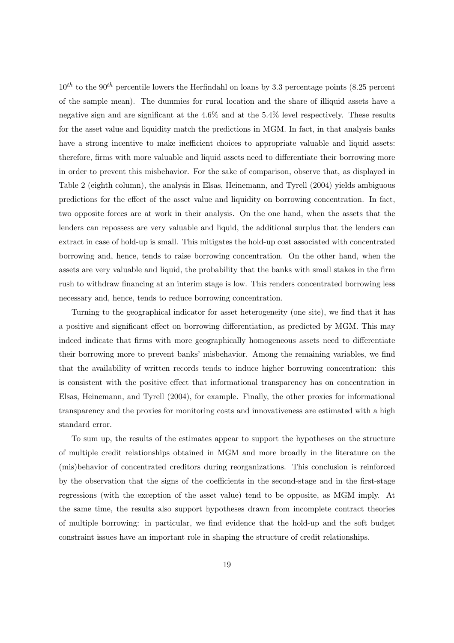$10^{th}$  to the 90<sup>th</sup> percentile lowers the Herfindahl on loans by 3.3 percentage points (8.25 percent of the sample mean). The dummies for rural location and the share of illiquid assets have a negative sign and are significant at the 4.6% and at the 5.4% level respectively. These results for the asset value and liquidity match the predictions in MGM. In fact, in that analysis banks have a strong incentive to make inefficient choices to appropriate valuable and liquid assets: therefore, firms with more valuable and liquid assets need to differentiate their borrowing more in order to prevent this misbehavior. For the sake of comparison, observe that, as displayed in Table 2 (eighth column), the analysis in Elsas, Heinemann, and Tyrell (2004) yields ambiguous predictions for the effect of the asset value and liquidity on borrowing concentration. In fact, two opposite forces are at work in their analysis. On the one hand, when the assets that the lenders can repossess are very valuable and liquid, the additional surplus that the lenders can extract in case of hold-up is small. This mitigates the hold-up cost associated with concentrated borrowing and, hence, tends to raise borrowing concentration. On the other hand, when the assets are very valuable and liquid, the probability that the banks with small stakes in the firm rush to withdraw financing at an interim stage is low. This renders concentrated borrowing less necessary and, hence, tends to reduce borrowing concentration.

Turning to the geographical indicator for asset heterogeneity (one site), we find that it has a positive and significant effect on borrowing differentiation, as predicted by MGM. This may indeed indicate that firms with more geographically homogeneous assets need to differentiate their borrowing more to prevent banks' misbehavior. Among the remaining variables, we find that the availability of written records tends to induce higher borrowing concentration: this is consistent with the positive effect that informational transparency has on concentration in Elsas, Heinemann, and Tyrell (2004), for example. Finally, the other proxies for informational transparency and the proxies for monitoring costs and innovativeness are estimated with a high standard error.

To sum up, the results of the estimates appear to support the hypotheses on the structure of multiple credit relationships obtained in MGM and more broadly in the literature on the (mis)behavior of concentrated creditors during reorganizations. This conclusion is reinforced by the observation that the signs of the coefficients in the second-stage and in the first-stage regressions (with the exception of the asset value) tend to be opposite, as MGM imply. At the same time, the results also support hypotheses drawn from incomplete contract theories of multiple borrowing: in particular, we find evidence that the hold-up and the soft budget constraint issues have an important role in shaping the structure of credit relationships.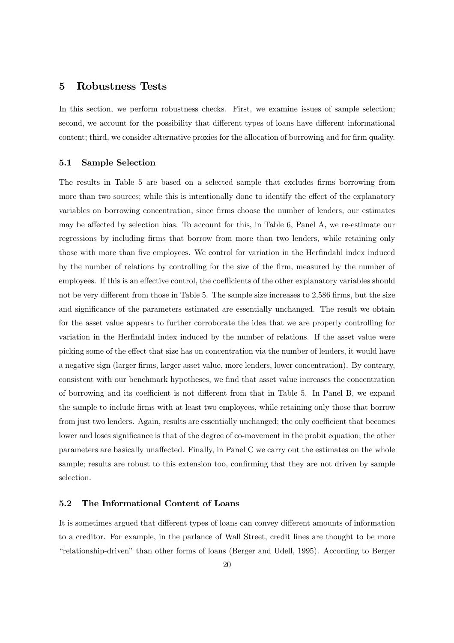#### 5 Robustness Tests

In this section, we perform robustness checks. First, we examine issues of sample selection; second, we account for the possibility that different types of loans have different informational content; third, we consider alternative proxies for the allocation of borrowing and for firm quality.

#### 5.1 Sample Selection

The results in Table 5 are based on a selected sample that excludes firms borrowing from more than two sources; while this is intentionally done to identify the effect of the explanatory variables on borrowing concentration, since firms choose the number of lenders, our estimates may be affected by selection bias. To account for this, in Table 6, Panel A, we re-estimate our regressions by including firms that borrow from more than two lenders, while retaining only those with more than five employees. We control for variation in the Herfindahl index induced by the number of relations by controlling for the size of the firm, measured by the number of employees. If this is an effective control, the coefficients of the other explanatory variables should not be very different from those in Table 5. The sample size increases to 2,586 firms, but the size and significance of the parameters estimated are essentially unchanged. The result we obtain for the asset value appears to further corroborate the idea that we are properly controlling for variation in the Herfindahl index induced by the number of relations. If the asset value were picking some of the effect that size has on concentration via the number of lenders, it would have a negative sign (larger firms, larger asset value, more lenders, lower concentration). By contrary, consistent with our benchmark hypotheses, we find that asset value increases the concentration of borrowing and its coefficient is not different from that in Table 5. In Panel B, we expand the sample to include firms with at least two employees, while retaining only those that borrow from just two lenders. Again, results are essentially unchanged; the only coefficient that becomes lower and loses significance is that of the degree of co-movement in the probit equation; the other parameters are basically unaffected. Finally, in Panel C we carry out the estimates on the whole sample; results are robust to this extension too, confirming that they are not driven by sample selection.

#### 5.2 The Informational Content of Loans

It is sometimes argued that different types of loans can convey different amounts of information to a creditor. For example, in the parlance of Wall Street, credit lines are thought to be more "relationship-driven" than other forms of loans (Berger and Udell, 1995). According to Berger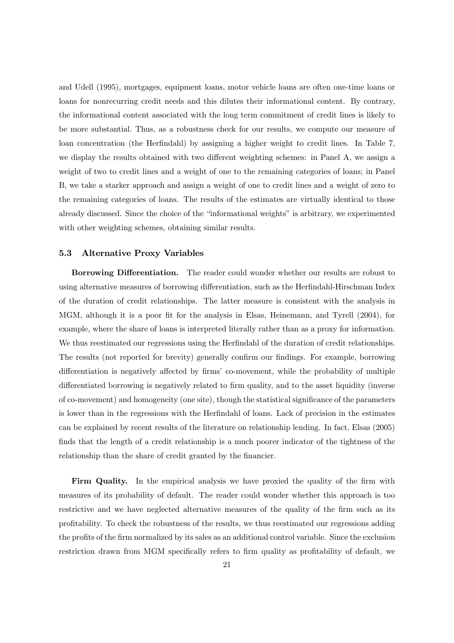and Udell (1995), mortgages, equipment loans, motor vehicle loans are often one-time loans or loans for nonrecurring credit needs and this dilutes their informational content. By contrary, the informational content associated with the long term commitment of credit lines is likely to be more substantial. Thus, as a robustness check for our results, we compute our measure of loan concentration (the Herfindahl) by assigning a higher weight to credit lines. In Table 7, we display the results obtained with two different weighting schemes: in Panel A, we assign a weight of two to credit lines and a weight of one to the remaining categories of loans; in Panel B, we take a starker approach and assign a weight of one to credit lines and a weight of zero to the remaining categories of loans. The results of the estimates are virtually identical to those already discussed. Since the choice of the "informational weights" is arbitrary, we experimented with other weighting schemes, obtaining similar results.

#### 5.3 Alternative Proxy Variables

Borrowing Differentiation. The reader could wonder whether our results are robust to using alternative measures of borrowing differentiation, such as the Herfindahl-Hirschman Index of the duration of credit relationships. The latter measure is consistent with the analysis in MGM, although it is a poor fit for the analysis in Elsas, Heinemann, and Tyrell (2004), for example, where the share of loans is interpreted literally rather than as a proxy for information. We thus reestimated our regressions using the Herfindahl of the duration of credit relationships. The results (not reported for brevity) generally confirm our findings. For example, borrowing differentiation is negatively affected by firms' co-movement, while the probability of multiple differentiated borrowing is negatively related to firm quality, and to the asset liquidity (inverse of co-movement) and homogeneity (one site), though the statistical significance of the parameters is lower than in the regressions with the Herfindahl of loans. Lack of precision in the estimates can be explained by recent results of the literature on relationship lending. In fact, Elsas (2005) finds that the length of a credit relationship is a much poorer indicator of the tightness of the relationship than the share of credit granted by the financier.

Firm Quality. In the empirical analysis we have proxied the quality of the firm with measures of its probability of default. The reader could wonder whether this approach is too restrictive and we have neglected alternative measures of the quality of the firm such as its profitability. To check the robustness of the results, we thus reestimated our regressions adding the profits of the firm normalized by its sales as an additional control variable. Since the exclusion restriction drawn from MGM specifically refers to firm quality as profitability of default, we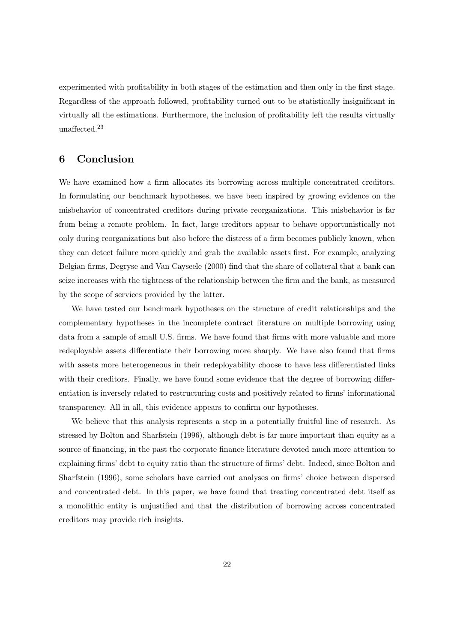experimented with profitability in both stages of the estimation and then only in the first stage. Regardless of the approach followed, profitability turned out to be statistically insignificant in virtually all the estimations. Furthermore, the inclusion of profitability left the results virtually unaffected. $23$ 

#### 6 Conclusion

We have examined how a firm allocates its borrowing across multiple concentrated creditors. In formulating our benchmark hypotheses, we have been inspired by growing evidence on the misbehavior of concentrated creditors during private reorganizations. This misbehavior is far from being a remote problem. In fact, large creditors appear to behave opportunistically not only during reorganizations but also before the distress of a firm becomes publicly known, when they can detect failure more quickly and grab the available assets first. For example, analyzing Belgian firms, Degryse and Van Cayseele (2000) find that the share of collateral that a bank can seize increases with the tightness of the relationship between the firm and the bank, as measured by the scope of services provided by the latter.

We have tested our benchmark hypotheses on the structure of credit relationships and the complementary hypotheses in the incomplete contract literature on multiple borrowing using data from a sample of small U.S. firms. We have found that firms with more valuable and more redeployable assets differentiate their borrowing more sharply. We have also found that firms with assets more heterogeneous in their redeployability choose to have less differentiated links with their creditors. Finally, we have found some evidence that the degree of borrowing differentiation is inversely related to restructuring costs and positively related to firms' informational transparency. All in all, this evidence appears to confirm our hypotheses.

We believe that this analysis represents a step in a potentially fruitful line of research. As stressed by Bolton and Sharfstein (1996), although debt is far more important than equity as a source of financing, in the past the corporate finance literature devoted much more attention to explaining firms' debt to equity ratio than the structure of firms' debt. Indeed, since Bolton and Sharfstein (1996), some scholars have carried out analyses on firms' choice between dispersed and concentrated debt. In this paper, we have found that treating concentrated debt itself as a monolithic entity is unjustified and that the distribution of borrowing across concentrated creditors may provide rich insights.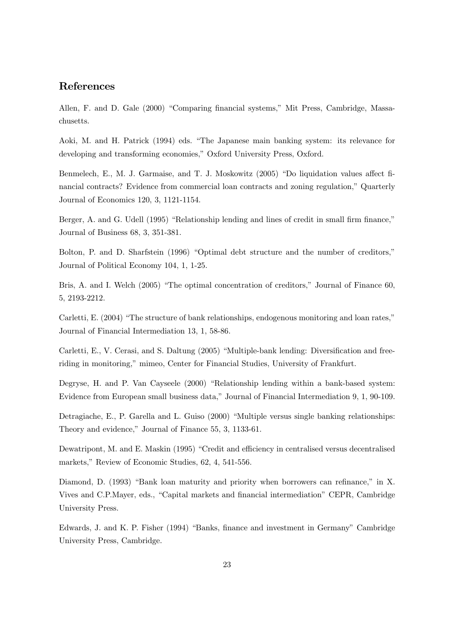#### References

Allen, F. and D. Gale (2000) "Comparing financial systems," Mit Press, Cambridge, Massachusetts.

Aoki, M. and H. Patrick (1994) eds. "The Japanese main banking system: its relevance for developing and transforming economies," Oxford University Press, Oxford.

Benmelech, E., M. J. Garmaise, and T. J. Moskowitz (2005) "Do liquidation values affect financial contracts? Evidence from commercial loan contracts and zoning regulation," Quarterly Journal of Economics 120, 3, 1121-1154.

Berger, A. and G. Udell (1995) "Relationship lending and lines of credit in small firm finance," Journal of Business 68, 3, 351-381.

Bolton, P. and D. Sharfstein (1996) "Optimal debt structure and the number of creditors," Journal of Political Economy 104, 1, 1-25.

Bris, A. and I. Welch (2005) "The optimal concentration of creditors," Journal of Finance 60, 5, 2193-2212.

Carletti, E. (2004) "The structure of bank relationships, endogenous monitoring and loan rates," Journal of Financial Intermediation 13, 1, 58-86.

Carletti, E., V. Cerasi, and S. Daltung (2005) "Multiple-bank lending: Diversification and freeriding in monitoring," mimeo, Center for Financial Studies, University of Frankfurt.

Degryse, H. and P. Van Cayseele (2000) "Relationship lending within a bank-based system: Evidence from European small business data," Journal of Financial Intermediation 9, 1, 90-109.

Detragiache, E., P. Garella and L. Guiso (2000) "Multiple versus single banking relationships: Theory and evidence," Journal of Finance 55, 3, 1133-61.

Dewatripont, M. and E. Maskin (1995) "Credit and efficiency in centralised versus decentralised markets," Review of Economic Studies, 62, 4, 541-556.

Diamond, D. (1993) "Bank loan maturity and priority when borrowers can refinance," in X. Vives and C.P.Mayer, eds., "Capital markets and financial intermediation" CEPR, Cambridge University Press.

Edwards, J. and K. P. Fisher (1994) "Banks, finance and investment in Germany" Cambridge University Press, Cambridge.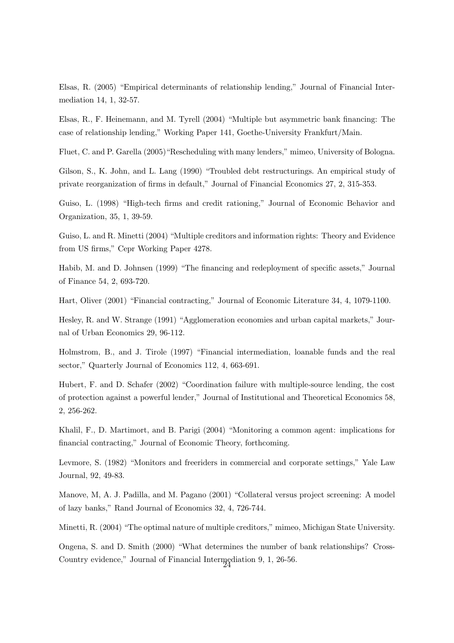Elsas, R. (2005) "Empirical determinants of relationship lending," Journal of Financial Intermediation 14, 1, 32-57.

Elsas, R., F. Heinemann, and M. Tyrell (2004) "Multiple but asymmetric bank financing: The case of relationship lending," Working Paper 141, Goethe-University Frankfurt/Main.

Fluet, C. and P. Garella (2005)"Rescheduling with many lenders," mimeo, University of Bologna.

Gilson, S., K. John, and L. Lang (1990) "Troubled debt restructurings. An empirical study of private reorganization of firms in default," Journal of Financial Economics 27, 2, 315-353.

Guiso, L. (1998) "High-tech firms and credit rationing," Journal of Economic Behavior and Organization, 35, 1, 39-59.

Guiso, L. and R. Minetti (2004) "Multiple creditors and information rights: Theory and Evidence from US firms," Cepr Working Paper 4278.

Habib, M. and D. Johnsen (1999) "The financing and redeployment of specific assets," Journal of Finance 54, 2, 693-720.

Hart, Oliver (2001) "Financial contracting," Journal of Economic Literature 34, 4, 1079-1100.

Hesley, R. and W. Strange (1991) "Agglomeration economies and urban capital markets," Journal of Urban Economics 29, 96-112.

Holmstrom, B., and J. Tirole (1997) "Financial intermediation, loanable funds and the real sector," Quarterly Journal of Economics 112, 4, 663-691.

Hubert, F. and D. Schafer (2002) "Coordination failure with multiple-source lending, the cost of protection against a powerful lender," Journal of Institutional and Theoretical Economics 58, 2, 256-262.

Khalil, F., D. Martimort, and B. Parigi (2004) "Monitoring a common agent: implications for financial contracting," Journal of Economic Theory, forthcoming.

Levmore, S. (1982) "Monitors and freeriders in commercial and corporate settings," Yale Law Journal, 92, 49-83.

Manove, M, A. J. Padilla, and M. Pagano (2001) "Collateral versus project screening: A model of lazy banks," Rand Journal of Economics 32, 4, 726-744.

Minetti, R. (2004) "The optimal nature of multiple creditors," mimeo, Michigan State University.

Ongena, S. and D. Smith (2000) "What determines the number of bank relationships? Cross-Country evidence," Journal of Financial Intermediation 9, 1, 26-56.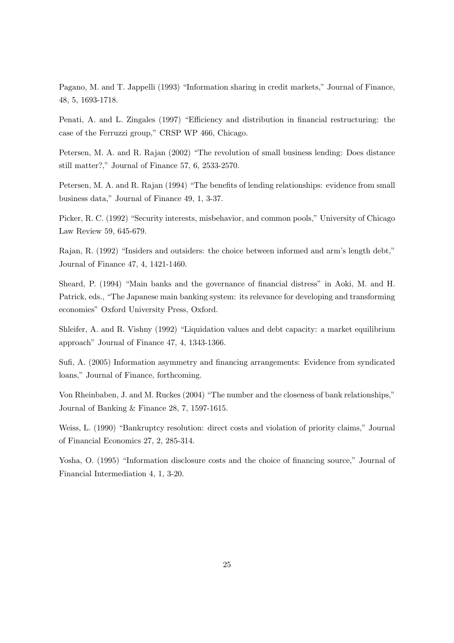Pagano, M. and T. Jappelli (1993) "Information sharing in credit markets," Journal of Finance, 48, 5, 1693-1718.

Penati, A. and L. Zingales (1997) "Efficiency and distribution in financial restructuring: the case of the Ferruzzi group," CRSP WP 466, Chicago.

Petersen, M. A. and R. Rajan (2002) "The revolution of small business lending: Does distance still matter?," Journal of Finance 57, 6, 2533-2570.

Petersen, M. A. and R. Rajan (1994) "The benefits of lending relationships: evidence from small business data," Journal of Finance 49, 1, 3-37.

Picker, R. C. (1992) "Security interests, misbehavior, and common pools," University of Chicago Law Review 59, 645-679.

Rajan, R. (1992) "Insiders and outsiders: the choice between informed and arm's length debt," Journal of Finance 47, 4, 1421-1460.

Sheard, P. (1994) "Main banks and the governance of financial distress" in Aoki, M. and H. Patrick, eds., "The Japanese main banking system: its relevance for developing and transforming economies" Oxford University Press, Oxford.

Shleifer, A. and R. Vishny (1992) "Liquidation values and debt capacity: a market equilibrium approach" Journal of Finance 47, 4, 1343-1366.

Sufi, A. (2005) Information asymmetry and financing arrangements: Evidence from syndicated loans," Journal of Finance, forthcoming.

Von Rheinbaben, J. and M. Ruckes (2004) "The number and the closeness of bank relationships," Journal of Banking & Finance 28, 7, 1597-1615.

Weiss, L. (1990) "Bankruptcy resolution: direct costs and violation of priority claims," Journal of Financial Economics 27, 2, 285-314.

Yosha, O. (1995) "Information disclosure costs and the choice of financing source," Journal of Financial Intermediation 4, 1, 3-20.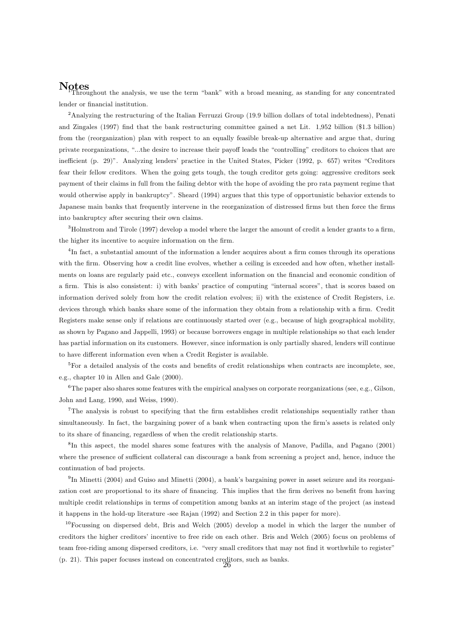**Notes**<br>Throughout the analysis, we use the term "bank" with a broad meaning, as standing for any concentrated lender or financial institution.

<sup>2</sup>Analyzing the restructuring of the Italian Ferruzzi Group (19.9 billion dollars of total indebtedness), Penati and Zingales (1997) find that the bank restructuring committee gained a net Lit. 1,952 billion (\$1.3 billion) from the (reorganization) plan with respect to an equally feasible break-up alternative and argue that, during private reorganizations, "...the desire to increase their payoff leads the "controlling" creditors to choices that are inefficient (p. 29)". Analyzing lenders' practice in the United States, Picker (1992, p. 657) writes "Creditors fear their fellow creditors. When the going gets tough, the tough creditor gets going: aggressive creditors seek payment of their claims in full from the failing debtor with the hope of avoiding the pro rata payment regime that would otherwise apply in bankruptcy". Sheard (1994) argues that this type of opportunistic behavior extends to Japanese main banks that frequently intervene in the reorganization of distressed firms but then force the firms into bankruptcy after securing their own claims.

<sup>3</sup>Holmstrom and Tirole (1997) develop a model where the larger the amount of credit a lender grants to a firm, the higher its incentive to acquire information on the firm.

<sup>4</sup>In fact, a substantial amount of the information a lender acquires about a firm comes through its operations with the firm. Observing how a credit line evolves, whether a ceiling is exceeded and how often, whether installments on loans are regularly paid etc., conveys excellent information on the financial and economic condition of a firm. This is also consistent: i) with banks' practice of computing "internal scores", that is scores based on information derived solely from how the credit relation evolves; ii) with the existence of Credit Registers, i.e. devices through which banks share some of the information they obtain from a relationship with a firm. Credit Registers make sense only if relations are continuously started over (e.g., because of high geographical mobility, as shown by Pagano and Jappelli, 1993) or because borrowers engage in multiple relationships so that each lender has partial information on its customers. However, since information is only partially shared, lenders will continue to have different information even when a Credit Register is available.

<sup>5</sup>For a detailed analysis of the costs and benefits of credit relationships when contracts are incomplete, see, e.g., chapter 10 in Allen and Gale (2000).

<sup>6</sup>The paper also shares some features with the empirical analyses on corporate reorganizations (see, e.g., Gilson, John and Lang, 1990, and Weiss, 1990).

<sup>7</sup>The analysis is robust to specifying that the firm establishes credit relationships sequentially rather than simultaneously. In fact, the bargaining power of a bank when contracting upon the firm's assets is related only to its share of financing, regardless of when the credit relationship starts.

<sup>8</sup>In this aspect, the model shares some features with the analysis of Manove, Padilla, and Pagano (2001) where the presence of sufficient collateral can discourage a bank from screening a project and, hence, induce the continuation of bad projects.

<sup>9</sup>In Minetti (2004) and Guiso and Minetti (2004), a bank's bargaining power in asset seizure and its reorganization cost are proportional to its share of financing. This implies that the firm derives no benefit from having multiple credit relationships in terms of competition among banks at an interim stage of the project (as instead it happens in the hold-up literature -see Rajan (1992) and Section 2.2 in this paper for more).

<sup>10</sup>Focussing on dispersed debt, Bris and Welch (2005) develop a model in which the larger the number of creditors the higher creditors' incentive to free ride on each other. Bris and Welch (2005) focus on problems of team free-riding among dispersed creditors, i.e. "very small creditors that may not find it worthwhile to register" (p. 21). This paper focuses instead on concentrated creditors, such as banks.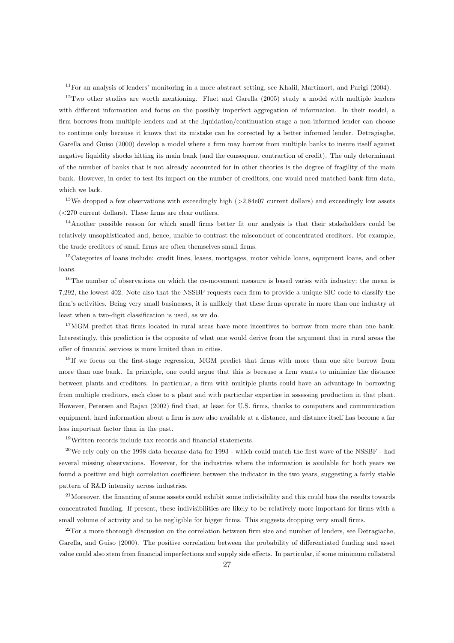<sup>11</sup>For an analysis of lenders' monitoring in a more abstract setting, see Khalil, Martimort, and Parigi (2004).

 $12$ Two other studies are worth mentioning. Fluet and Garella (2005) study a model with multiple lenders with different information and focus on the possibly imperfect aggregation of information. In their model, a firm borrows from multiple lenders and at the liquidation/continuation stage a non-informed lender can choose to continue only because it knows that its mistake can be corrected by a better informed lender. Detragiaghe, Garella and Guiso (2000) develop a model where a firm may borrow from multiple banks to insure itself against negative liquidity shocks hitting its main bank (and the consequent contraction of credit). The only determinant of the number of banks that is not already accounted for in other theories is the degree of fragility of the main bank. However, in order to test its impact on the number of creditors, one would need matched bank-firm data, which we lack.

 $13$ We dropped a few observations with exceedingly high ( $>2.84$ e07 current dollars) and exceedingly low assets  $\langle$  <270 current dollars). These firms are clear outliers.

<sup>14</sup>Another possible reason for which small firms better fit our analysis is that their stakeholders could be relatively unsophisticated and, hence, unable to contrast the misconduct of concentrated creditors. For example, the trade creditors of small firms are often themselves small firms.

<sup>15</sup>Categories of loans include: credit lines, leases, mortgages, motor vehicle loans, equipment loans, and other loans.

<sup>16</sup>The number of observations on which the co-movement measure is based varies with industry; the mean is 7,292, the lowest 402. Note also that the NSSBF requests each firm to provide a unique SIC code to classify the firm's activities. Being very small businesses, it is unlikely that these firms operate in more than one industry at least when a two-digit classification is used, as we do.

<sup>17</sup>MGM predict that firms located in rural areas have more incentives to borrow from more than one bank. Interestingly, this prediction is the opposite of what one would derive from the argument that in rural areas the offer of financial services is more limited than in cities.

<sup>18</sup>If we focus on the first-stage regression, MGM predict that firms with more than one site borrow from more than one bank. In principle, one could argue that this is because a firm wants to minimize the distance between plants and creditors. In particular, a firm with multiple plants could have an advantage in borrowing from multiple creditors, each close to a plant and with particular expertise in assessing production in that plant. However, Petersen and Rajan (2002) find that, at least for U.S. firms, thanks to computers and communication equipment, hard information about a firm is now also available at a distance, and distance itself has become a far less important factor than in the past.

<sup>19</sup>Written records include tax records and financial statements.

<sup>20</sup>We rely only on the 1998 data because data for 1993 - which could match the first wave of the NSSBF - had several missing observations. However, for the industries where the information is available for both years we found a positive and high correlation coefficient between the indicator in the two years, suggesting a fairly stable pattern of R&D intensity across industries.

<sup>21</sup>Moreover, the financing of some assets could exhibit some indivisibility and this could bias the results towards concentrated funding. If present, these indivisibilities are likely to be relatively more important for firms with a small volume of activity and to be negligible for bigger firms. This suggests dropping very small firms.

<sup>22</sup>For a more thorough discussion on the correlation between firm size and number of lenders, see Detragiache, Garella, and Guiso (2000). The positive correlation between the probability of differentiated funding and asset value could also stem from financial imperfections and supply side eects. In particular, if some minimum collateral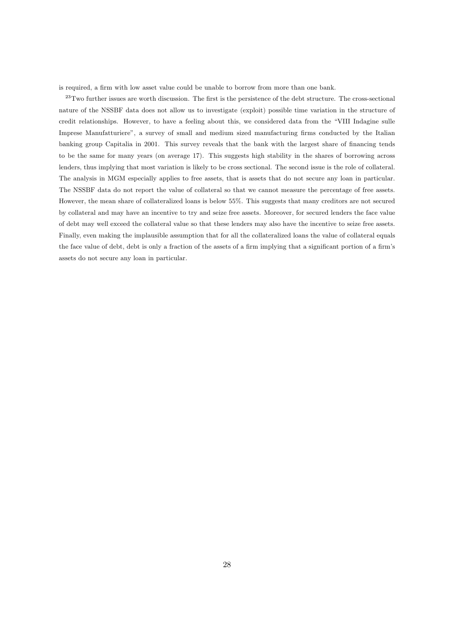is required, a firm with low asset value could be unable to borrow from more than one bank.

 $^{23}$ Two further issues are worth discussion. The first is the persistence of the debt structure. The cross-sectional nature of the NSSBF data does not allow us to investigate (exploit) possible time variation in the structure of credit relationships. However, to have a feeling about this, we considered data from the "VIII Indagine sulle Imprese Manufatturiere", a survey of small and medium sized manufacturing firms conducted by the Italian banking group Capitalia in 2001. This survey reveals that the bank with the largest share of financing tends to be the same for many years (on average 17). This suggests high stability in the shares of borrowing across lenders, thus implying that most variation is likely to be cross sectional. The second issue is the role of collateral. The analysis in MGM especially applies to free assets, that is assets that do not secure any loan in particular. The NSSBF data do not report the value of collateral so that we cannot measure the percentage of free assets. However, the mean share of collateralized loans is below 55%. This suggests that many creditors are not secured by collateral and may have an incentive to try and seize free assets. Moreover, for secured lenders the face value of debt may well exceed the collateral value so that these lenders may also have the incentive to seize free assets. Finally, even making the implausible assumption that for all the collateralized loans the value of collateral equals the face value of debt, debt is only a fraction of the assets of a firm implying that a significant portion of a firm's assets do not secure any loan in particular.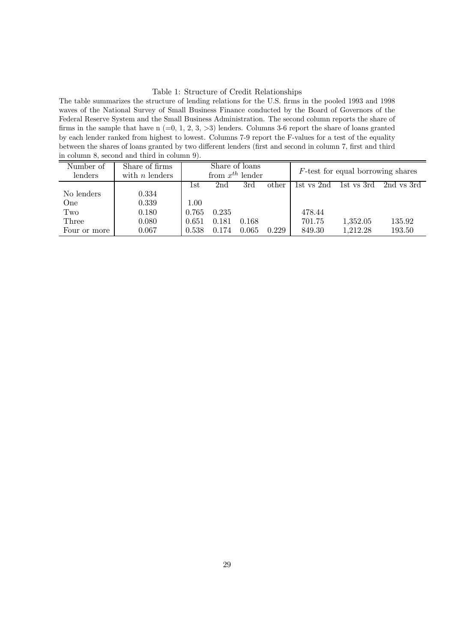#### Table 1: Structure of Credit Relationships

The table summarizes the structure of lending relations for the U.S. firms in the pooled 1993 and 1998 waves of the National Survey of Small Business Finance conducted by the Board of Governors of the Federal Reserve System and the Small Business Administration. The second column reports the share of firms in the sample that have n  $(=0, 1, 2, 3, >3)$  lenders. Columns 3-6 report the share of loans granted by each lender ranked from highest to lowest. Columns 7-9 report the F-values for a test of the equality between the shares of loans granted by two different lenders (first and second in column 7, first and third in column 8, second and third in column 9).

| Number of    | Share of firms   | Share of loans       |       |       |                                      |            |            |            |
|--------------|------------------|----------------------|-------|-------|--------------------------------------|------------|------------|------------|
| lenders      | with $n$ lenders | from $x^{th}$ lender |       |       | $F$ -test for equal borrowing shares |            |            |            |
|              |                  | lst                  | 2nd   | 3rd   | other                                | 1st vs 2nd | 1st vs 3rd | 2nd vs 3rd |
| No lenders   | 0.334            |                      |       |       |                                      |            |            |            |
| One          | 0.339            | 1.00                 |       |       |                                      |            |            |            |
| Two          | 0.180            | 0.765                | 0.235 |       |                                      | 478.44     |            |            |
| Three        | 0.080            | 0.651                | 0.181 | 0.168 |                                      | 701.75     | 1,352.05   | 135.92     |
| Four or more | 0.067            | 0.538                | 0.174 | 0.065 | 0.229                                | 849.30     | 1,212.28   | 193.50     |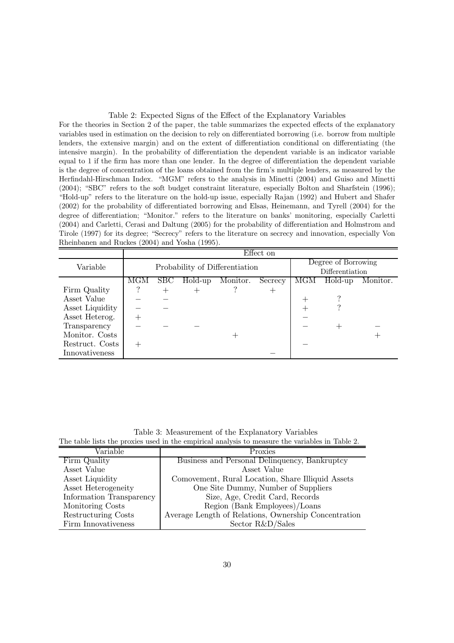#### Table 2: Expected Signs of the Effect of the Explanatory Variables

For the theories in Section 2 of the paper, the table summarizes the expected effects of the explanatory variables used in estimation on the decision to rely on differentiated borrowing (i.e. borrow from multiple lenders, the extensive margin) and on the extent of differentiation conditional on differentiating (the intensive margin). In the probability of differentiation the dependent variable is an indicator variable equal to 1 if the firm has more than one lender. In the degree of differentiation the dependent variable is the degree of concentration of the loans obtained from the firm's multiple lenders, as measured by the Herfindahl-Hirschman Index. "MGM" refers to the analysis in Minetti (2004) and Guiso and Minetti (2004); "SBC" refers to the soft budget constraint literature, especially Bolton and Sharfstein (1996); "Hold-up" refers to the literature on the hold-up issue, especially Rajan (1992) and Hubert and Shafer (2002) for the probability of differentiated borrowing and Elsas, Heinemann, and Tyrell (2004) for the degree of differentiation; "Monitor." refers to the literature on banks' monitoring, especially Carletti (2004) and Carletti, Cerasi and Daltung (2005) for the probability of dierentiation and Holmstrom and Tirole (1997) for its degree; "Secrecy" refers to the literature on secrecy and innovation, especially Von Rheinbanen and Ruckes (2004) and Yosha (1995).

|                 | Effect on |                                |         |                     |                 |          |                 |  |  |
|-----------------|-----------|--------------------------------|---------|---------------------|-----------------|----------|-----------------|--|--|
| Variable        |           |                                |         | Degree of Borrowing |                 |          |                 |  |  |
|                 |           | Probability of Differentiation |         |                     |                 |          | Differentiation |  |  |
|                 | MGM       | SBC                            | Hold-up | MGM                 | Hold-up         | Monitor. |                 |  |  |
| Firm Quality    |           |                                |         |                     | $^{\mathrm{+}}$ |          |                 |  |  |
| Asset Value     |           |                                |         |                     |                 | $^+$     |                 |  |  |
| Asset Liquidity |           |                                |         |                     |                 |          |                 |  |  |
| Asset Heterog.  |           |                                |         |                     |                 |          |                 |  |  |
| Transparency    |           |                                |         |                     |                 |          |                 |  |  |
| Monitor. Costs  |           |                                |         |                     |                 |          |                 |  |  |
| Restruct. Costs |           |                                |         |                     |                 |          |                 |  |  |
| Innovativeness  |           |                                |         |                     |                 |          |                 |  |  |

Table 3: Measurement of the Explanatory Variables The table lists the proxies used in the empirical analysis to measure the variables in Table 2.

| $\text{Variable}$        | Proxies                                              |
|--------------------------|------------------------------------------------------|
| Firm Quality             | Business and Personal Delinquency, Bankruptcy        |
| Asset Value              | Asset Value                                          |
| Asset Liquidity          | Comovement, Rural Location, Share Illiquid Assets    |
| Asset Heterogeneity      | One Site Dummy, Number of Suppliers                  |
| Information Transparency | Size, Age, Credit Card, Records                      |
| Monitoring Costs         | Region (Bank Employees)/Loans                        |
| Restructuring Costs      | Average Length of Relations, Ownership Concentration |
| Firm Innovativeness      | Sector R&D/Sales                                     |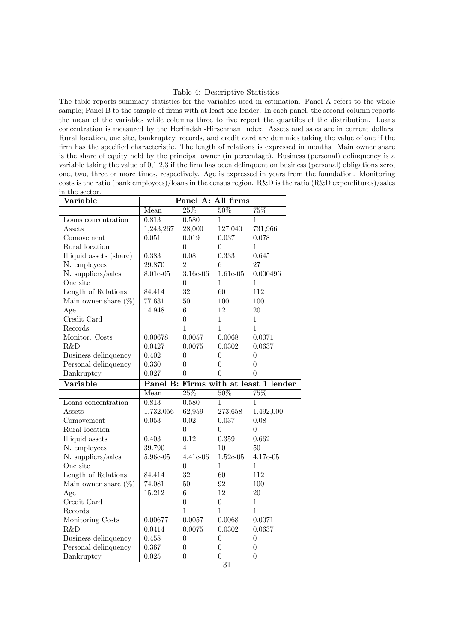#### Table 4: Descriptive Statistics

The table reports summary statistics for the variables used in estimation. Panel A refers to the whole sample; Panel B to the sample of firms with at least one lender. In each panel, the second column reports the mean of the variables while columns three to five report the quartiles of the distribution. Loans concentration is measured by the Herfindahl-Hirschman Index. Assets and sales are in current dollars. Rural location, one site, bankruptcy, records, and credit card are dummies taking the value of one if the firm has the specified characteristic. The length of relations is expressed in months. Main owner share is the share of equity held by the principal owner (in percentage). Business (personal) delinquency is a variable taking the value of 0,1,2,3 if the firm has been delinquent on business (personal) obligations zero, one, two, three or more times, respectively. Age is expressed in years from the foundation. Monitoring costs is the ratio (bank employees)/loans in the census region. R&D is the ratio  $(R&D$  expenditures)/sales in the sector.

| Variable                                          | Panel A: All firms |                  |                |                |  |
|---------------------------------------------------|--------------------|------------------|----------------|----------------|--|
|                                                   | Mean               | 25%              | 50%            | 75%            |  |
| Loans concentration                               | 0.813              | 0.580            | 1              | 1              |  |
| $\operatorname{Assets}$                           | 1,243,267          | 28,000           | 127,040        | 731,966        |  |
| Comovement                                        | 0.051              | 0.019            | 0.037          | 0.078          |  |
| Rural location                                    |                    | $\overline{0}$   | $\theta$       | 1              |  |
| Illiquid assets (share)                           | 0.383              | 0.08             | 0.333          | 0.645          |  |
| N. employees                                      | 29.870             | $\overline{2}$   | 6              | 27             |  |
| N. suppliers/sales                                | 8.01e-05           | 3.16e-06         | $1.61e-05$     | 0.000496       |  |
| One site                                          |                    | $\theta$         | $\mathbf{1}$   | 1              |  |
| Length of Relations                               | 84.414             | 32               | 60             | 112            |  |
| Main owner share $(\%)$                           | 77.631             | 50               | 100            | 100            |  |
| Age                                               | 14.948             | 6                | 12             | 20             |  |
| Credit Card                                       |                    | $\Omega$         | 1              | 1              |  |
| Records                                           |                    | $\mathbf{1}$     | $\mathbf{1}$   | 1              |  |
| Monitor. Costs                                    | 0.00678            | 0.0057           | 0.0068         | 0.0071         |  |
| R&D                                               | 0.0427             | 0.0075           | 0.0302         | 0.0637         |  |
| Business delinquency                              | 0.402              | $\theta$         | $\overline{0}$ | $\overline{0}$ |  |
| Personal delinquency                              | 0.330              | $\theta$         | $\theta$       | $\theta$       |  |
| Bankruptcy                                        | 0.027              | $\theta$         | $\theta$       | $\theta$       |  |
| Panel B: Firms with at least 1 lender<br>Variable |                    |                  |                |                |  |
|                                                   |                    |                  |                |                |  |
|                                                   | Mean               | 25%              | 50%            | 75%            |  |
| Loans concentration                               | 0.813              | 0.580            | 1              | 1              |  |
| Assets                                            | 1,732,056          | 62,959           | 273,658        | 1,492,000      |  |
| Comovement                                        | 0.053              | 0.02             | 0.037          | 0.08           |  |
| Rural location                                    |                    | $\Omega$         | $\theta$       | 0              |  |
| Illiquid assets                                   | 0.403              | 0.12             | 0.359          | 0.662          |  |
| N. employees                                      | 39.790             | $\overline{4}$   | 10             | 50             |  |
| N. suppliers/sales                                | 5.96e-05           | 4.41e-06         | $1.52e-05$     | 4.17e-05       |  |
| One site                                          |                    | $\overline{0}$   | $\mathbf{1}$   | $\mathbf 1$    |  |
| Length of Relations                               | 84.414             | 32               | 60             | 112            |  |
| Main owner share $(\%)$                           | 74.081             | 50               | 92             | 100            |  |
| Age                                               | 15.212             | 6                | 12             | 20             |  |
| Credit Card                                       |                    | $\theta$         | $\overline{0}$ | 1              |  |
| Records                                           |                    | $\mathbf{1}$     | $\mathbf{1}$   | 1              |  |
| Monitoring Costs                                  | 0.00677            | 0.0057           | 0.0068         | 0.0071         |  |
| R&D                                               | 0.0414             | 0.0075           | 0.0302         | 0.0637         |  |
| Business delinquency                              | 0.458              | $\boldsymbol{0}$ | $\overline{0}$ | 0              |  |
| Personal delinquency                              | 0.367              | $\Omega$         | $\overline{0}$ | $\overline{0}$ |  |
| Bankruptcy                                        | 0.025              | $\overline{0}$   | $\overline{0}$ | $\overline{0}$ |  |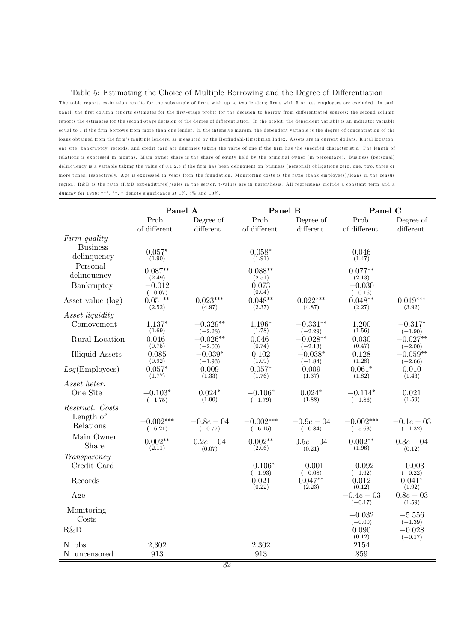#### Table 5: Estimating the Choice of Multiple Borrowing and the Degree of Differentiation

The table reports estimation results for the subsample of firms with up to two lenders; firms with 5 or less employees are excluded. In each panel, the first column reports estimates for the first-stage probit for the decision to borrow from differentiated sources; the second column reports the estimates for the second-stage decision of the degree of differentiation. In the probit, the dependent variable is an indicator variable equal to 1 if the firm borrows from more than one lender. In the intensive margin, the dependent variable is the degree of concentration of the loans obtained from the firm's multiple lenders, as measured by the Herfindahl-Hirschman Index. Assets are in current dollars. Rural location, one site, bankruptcy, records, and credit card are dummies taking the value of one if the firm has the specified characteristic. The length of relations is expressed in months. Main owner share is the share of equity held by the principal owner (in percentage). Business (personal) delinquency is a variable taking the value of 0,1,2,3 if the firm has been delinquent on business (personal) obligations zero, one, two, three or more times, respectively. Age is expressed in years from the foundation. Monitoring costs is the ratio (bank employees)/loans in the census region. R&D is the ratio (R&D expenditures)/sales in the sector. t-values are in parenthesis. All regressions include a constant term and a dummy for 1998; \*\*\*, \*\*, \* denote significance at 1%, 5% and 10%.

|                          | Panel A               |                         | Panel B                |                         | Panel C                 |                         |
|--------------------------|-----------------------|-------------------------|------------------------|-------------------------|-------------------------|-------------------------|
|                          | Prob.                 | Degree of               | Prob.                  | Degree of               | Prob.                   | Degree of               |
| Firm quality             | of different.         | different.              | of different.          | different.              | of different.           | different.              |
| <b>Business</b>          |                       |                         |                        |                         |                         |                         |
| delinquency              | $0.057*$<br>(1.90)    |                         | $0.058*$<br>(1.91)     |                         | 0.046<br>(1.47)         |                         |
| Personal                 | $0.087**$             |                         | $0.088**$              |                         | $0.077**$               |                         |
| delinquency              | (2.49)                |                         | (2.51)                 |                         | (2.13)                  |                         |
| Bankruptcy               | $-0.012$<br>$(-0.07)$ |                         | 0.073<br>(0.04)        |                         | $-0.030$<br>$(-0.16)$   |                         |
| Asset value (log)        | $0.051**$<br>(2.52)   | $0.023***$<br>(4.97)    | $0.048**$<br>(2.37)    | $0.022***$<br>(4.87)    | $0.048**$<br>(2.27)     | $0.019***$<br>(3.92)    |
| Asset liquidity          |                       |                         |                        |                         |                         |                         |
| Comovement               | $1.137*$<br>(1.69)    | $-0.329**$<br>$(-2.28)$ | $1.196*$<br>(1.78)     | $-0.331**$<br>$(-2.29)$ | 1.200<br>(1.56)         | $-0.317*$<br>$(-1.90)$  |
| Rural Location           | 0.046<br>(0.75)       | $-0.026**$              | 0.046<br>(0.74)        | $-0.028**$              | 0.030<br>(0.47)         | $-0.027**$              |
| <b>Illiquid Assets</b>   | 0.085                 | $(-2.00)$<br>$-0.039*$  | 0.102                  | $(-2.13)$<br>$-0.038*$  | 0.128                   | $(-2.00)$<br>$-0.059**$ |
| Log(Employes)            | (0.92)<br>$0.057*$    | $(-1.93)$<br>0.009      | (1.09)<br>$0.057*$     | $(-1.84)$<br>0.009      | (1.28)<br>$0.061*$      | $(-2.66)$<br>0.010      |
|                          | (1.77)                | (1.33)                  | (1.76)                 | (1.37)                  | (1.82)                  | (1.43)                  |
| Asset heter.<br>One Site | $-0.103*$             | $0.024*$                | $-0.106*$              | $0.024*$                | $-0.114*$               | 0.021                   |
|                          | $(-1.75)$             | (1.90)                  | $(-1.79)$              | (1.88)                  | $(-1.86)$               | (1.59)                  |
| Restruct. Costs          |                       |                         |                        |                         |                         |                         |
| Length of<br>Relations   | $-0.002***$           | $-0.8e - 0.4$           | $-0.002***$            | $-0.9e-0.4$             | $-0.002***$             | $-0.1e-03$              |
| Main Owner               | $(-6.21)$             | $(-0.77)$               | $(-6.15)$              | $(-0.84)$               | $(-5.63)$               | $(-1.32)$               |
| Share                    | $0.002**$<br>(2.11)   | $0.2e - 0.4$<br>(0.07)  | $0.002**$<br>(2.06)    | $0.5e - 04$<br>(0.21)   | $0.002**$<br>(1.96)     | $0.3e - 0.4$<br>(0.12)  |
| Transparency             |                       |                         |                        |                         |                         |                         |
| Credit Card              |                       |                         | $-0.106*$<br>$(-1.93)$ | $-0.001$<br>$(-0.08)$   | $-0.092$<br>$(-1.62)$   | $-0.003$<br>$(-0.22)$   |
| Records                  |                       |                         | 0.021<br>(0.22)        | $0.047**$<br>(2.23)     | 0.012<br>(0.12)         | $0.041*$<br>(1.92)      |
| Age                      |                       |                         |                        |                         | $-0.4e-03$<br>$(-0.17)$ | $0.8e-0.3$<br>(1.59)    |
| Monitoring               |                       |                         |                        |                         | $-0.032$                | $-5.556$                |
| Costs                    |                       |                         |                        |                         | $(-0.00)$               | $(-1.39)$               |
| R&D                      |                       |                         |                        |                         | 0.090<br>(0.12)         | $-0.028$<br>$(-0.17)$   |
| N. obs.                  | 2,302                 |                         | 2,302                  |                         | 2154                    |                         |
| N. uncensored            | 913                   | $\overline{\circ}$      | 913                    |                         | 859                     |                         |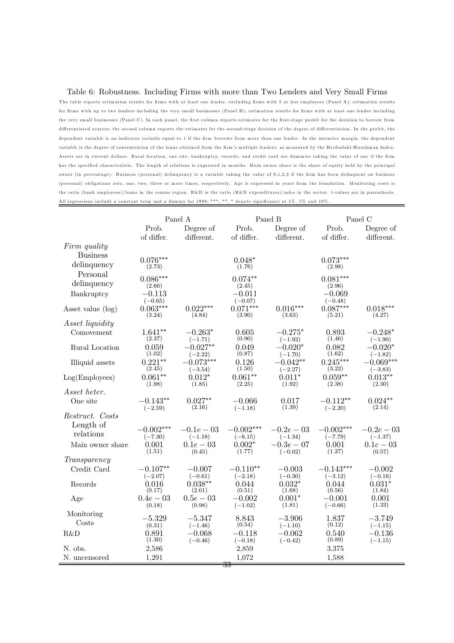#### Table 6: Robustness. Including Firms with more than Two Lenders and Very Small Firms

The table reports estimation results for firms with at least one lender, excluding firms with 5 or less employees (Panel A); estimation results for firm s with up to two lenders including the very small businesses (Panel B); estim ation results for firms with at least one lender including the very sm all businesses (Panel C). In each panel, the first column reports estimates for the first-stage probit for the decision to borrow from differentiated sources; the second column reports the estimates for the second-stage decision of the degree of differentiation. In the probit, the dependent variable is an indicator variable equal to 1 if the firm borrows from more than one lender. In the intensive margin, the dependent variable is the degree of concentration of the loans obtained from the firm's multiple lenders, as measured by the Herfindahl-Hirschm an Index. Assets are in current dollars. Rural location, one site, bankruptcy, records, and credit card are dummies taking the value of one if the firm has the specified characteristic. The length of relations is expressed in months. Main owner share is the share of equity held by the principal owner (in percentage). Business (personal) delinquency is a variable taking the value of 0,1,2,3 if the firm has been delinquent on business (personal) obligations zero, one, two, three or more times, respectively. Age is expressed in years from the foundation. Monitoring costs is the ratio (bank em ployees)/loans in the census region. R&D is the ratio (R&D expenditures)/sales in the sector. t-values are in parenthesis. All regressions include a constant term and a dummy for 1998; \*\*\*, \*\*, \* denote significance at 1%, 5% and 10%.

|                                 | Panel A                 |                         |                         | Panel B                 | Panel C                  |                        |
|---------------------------------|-------------------------|-------------------------|-------------------------|-------------------------|--------------------------|------------------------|
|                                 | Prob.                   | Degree of               | Prob.                   | Degree of               | Prob.                    | Degree of              |
|                                 | of differ.              | different.              | of differ.              | different.              | of differ.               | different.             |
| Firm quality<br><b>Business</b> |                         |                         |                         |                         |                          |                        |
| delinquency                     | $0.076***$<br>(2.73)    |                         | $0.048*$<br>(1.76)      |                         | $0.073***$<br>(2.98)     |                        |
| Personal                        | $0.086***$              |                         | $0.074**$               |                         | $0.081***$               |                        |
| delinquency                     | (2.66)                  |                         | (2.45)                  |                         | (2.96)                   |                        |
| Bankruptcy                      | $-0.113\,$<br>$(-0.65)$ |                         | $-0.011$<br>$(-0.07)$   |                         | $-0.069$<br>$(-0.48)$    |                        |
| Asset value $(\log)$            | $0.063***$<br>(3.24)    | $0.022***$<br>(4.84)    | $0.071***$<br>(3.90)    | $0.016***$<br>(3.63)    | $0.087***$<br>(5.21)     | $0.018***$<br>(4.27)   |
| <i>Asset liquidity</i>          |                         |                         |                         |                         |                          |                        |
| Comovement                      | $1.641**$<br>(2.37)     | $-0.263*$<br>$(-1.71)$  | 0.605<br>(0.90)         | $-0.275*$<br>$(-1.92)$  | 0.893<br>(1.46)          | $-0.248*$<br>$(-1.90)$ |
| Rural Location                  | 0.059<br>(1.02)         | $-0.027**$<br>$(-2.22)$ | 0.049<br>(0.87)         | $-0.020*$<br>$(-1.70)$  | 0.082<br>(1.62)          | $-0.020*$<br>$(-1.82)$ |
| Illiquid assets                 | $0.221**$               | $-0.073***$             | 0.126                   | $-0.042**$              | $0.245***$               | $-0.069***$            |
| Log(Employes)                   | (2.45)<br>$0.061**$     | $(-3.54)$<br>$0.012*$   | (1.50)<br>$0.061**$     | $(-2.27)$<br>$0.011*$   | (3.22)<br>$0.059**$      | $(-3.83)$<br>$0.013**$ |
|                                 | (1.98)                  | (1.85)                  | (2.25)                  | (1.92)                  | (2.38)                   | (2.30)                 |
| Asset heter.                    |                         |                         |                         |                         |                          |                        |
| One site                        | $-0.143**$<br>$(-2.59)$ | $0.027**$<br>(2.16)     | $-0.066$<br>$(-1.18)$   | 0.017<br>(1.39)         | $-0.112**$<br>$(-2.20)$  | $0.024**$<br>(2.14)    |
| Restruct. Costs                 |                         |                         |                         |                         |                          |                        |
| Length of                       | $-0.002***$             | $-0.1e-03$              | $-0.002***$             | $-0.2e-0.3$             | $-0.002***$              | $-0.2e-0.3$            |
| relations                       | $(-7.30)$               | $(-1.18)$               | $(-6.15)$               | $(-1.34)$               | $(-7.79)$                | $(-1.37)$              |
| Main owner share                | 0.001<br>(1.51)         | $0.1e-0.3$<br>(0.45)    | $0.002*$<br>(1.77)      | $-0.3e-07$<br>$(-0.02)$ | 0.001<br>(1.27)          | $0.1e-03$<br>(0.57)    |
| Transparency                    |                         |                         |                         |                         |                          |                        |
| Credit Card                     | $-0.107**$<br>$(-2.07)$ | $-0.007$<br>$(-0.61)$   | $-0.110**$<br>$(-2.18)$ | $-0.003$<br>$(-0.30)$   | $-0.143***$<br>$(-3.12)$ | $-0.002$<br>$(-0.16)$  |
| Records                         | 0.016<br>(0.17)         | $0.038**$<br>(2.01)     | 0.044<br>(0.51)         | $0.032*$<br>(1.68)      | 0.044<br>(0.56)          | $0.031*$<br>(1.84)     |
| Age                             | $0.4e - 03$<br>(0.18)   | $0.5e - 03$<br>(0.98)   | $-0.002$<br>$(-1.02)$   | $0.001*$<br>(1.81)      | $-0.001$<br>$(-0.66)$    | 0.001<br>(1.33)        |
| Monitoring                      | $-5.329$                | $-5.347$                | 8.843                   | $-3.906$                | 1.837                    | $-3.749$               |
| Costs                           | (0.31)                  | $(-1.46)$               | (0.54)                  | $(-1.10)$               | (0.12)                   | $(-1.15)$              |
| R&D                             | 0.891<br>(1.30)         | $-0.068$<br>$(-0.46)$   | $-0.118$<br>$(-0.18)$   | $-0.062$<br>$(-0.42)$   | 0.540<br>(0.89)          | $-0.136$<br>$(-1.15)$  |
| N. obs.                         | 2,586                   |                         | 2,859                   |                         | 3,375                    |                        |
| N. uncensored                   | 1,291                   |                         | 1,072<br><del>33</del>  |                         | 1,588                    |                        |